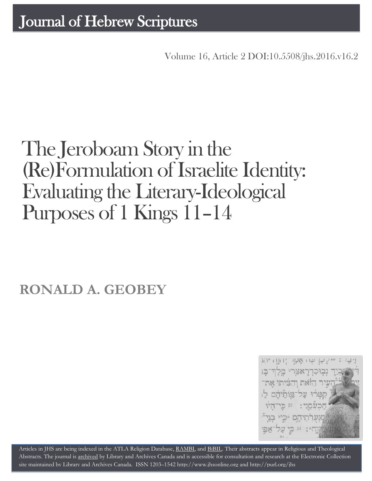Volume 16, Article 2 DOI:10.5508/jhs.2016.v16.2

# The Jeroboam Story in the (Re)Formulation of Israelite Identity: Evaluating the Literary-Ideological Purposes of 1 Kings 11–14

**RONALD A. GEOBEY**



Articles in JHS are being indexed in the ATLA Religion Database, [RAMBI,](http://jnul.huji.ac.il/rambi/) an[d BiBIL.](http://bibil.net/) Their abstracts appear in Religious and Theological Abstracts. The journal is [archived](http://epe.lac-bac.gc.ca/100/201/300/journal_hebrew/index.html) by Library and Archives Canada and is accessible for consultation and research at the Electronic Collection site maintained b[y Library and Archives Canada.](http://collectionscanada.ca/electroniccollection/003008-200-e.html) ISSN 1203–154[2 http://www.jhsonline.org](http://www.jhsonline.org/) and<http://purl.org/jhs>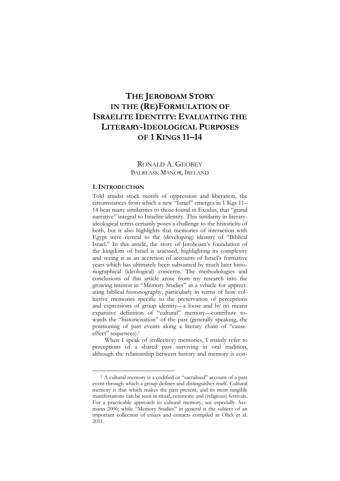# **THE JEROBOAM STORY IN THE (RE)FORMULATION OF ISRAELITE IDENTITY: EVALUATING THE LITERARY-IDEOLOGICAL PURPOSES OF 1 KINGS 11–14**

## RONALD A. GEOBEY BALREASK MANOR, IRELAND

### **1. INTRODUCTION**

 $\overline{\phantom{a}}$ 

Told amidst stock motifs of oppression and liberation, the circumstances from which a new "Israel" emerges in 1 Kgs 11– 14 bear many similarities to those found in Exodus, that "grand narrative" integral to Israelite identity. This similarity in literaryideological terms certainly poses a challenge to the historicity of both, but it also highlights that memories of interaction with Egypt were central to the (developing) identity of "Biblical Israel." In this article, the story of Jeroboam's foundation of the kingdom of Israel is assessed, highlighting its complexity and seeing it as an accretion of accounts of Israel's formative years which has ultimately been subsumed by much later historiographical (ideological) concerns. The methodologies and conclusions of this article arose from my research into the growing interest in "Memory Studies" as a vehicle for appreciating biblical historiography, particularly in terms of how collective memories specific to the preservation of perceptions and expressions of group identity—a loose and by no means expansive definition of "cultural" memory—contribute towards the "historicisation" of the past (generally speaking, the positioning of past events along a literary chain of "causeeffect" sequences). 1

When I speak of (collective) memories, I mainly refer to perceptions of a shared past surviving in oral tradition, although the relationship between history and memory is con-

<sup>&</sup>lt;sup>1</sup> A cultural memory is a codified or "sacralised" account of a past event through which a group defines and distinguishes itself. Cultural memory is that which makes the past present, and its most tangible manifestations can be seen in ritual, ceremony and (religious) festivals. For a practicable approach to cultural memory, see especially Assmann 2006; while "Memory Studies" in general is the subject of an important collection of essays and extracts compiled in Olick et al. 2011.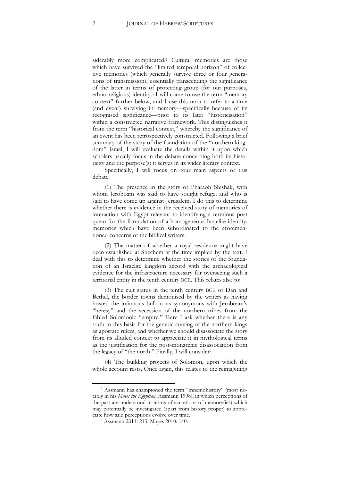siderably more complicated.<sup>2</sup> Cultural memories are those which have survived the "limited temporal horizon" of collective memories (which generally survive three or four generations of transmission), essentially transcending the significance of the latter in terms of protecting group (for our purposes, ethno-religious) identity. <sup>3</sup> I will come to use the term "memory context" further below, and I use this term to refer to a time (and event) surviving in memory—specifically because of its recognised significance—prior to its later "historicisation" within a constructed narrative framework. This distinguishes it from the term "historical context," whereby the significance of an event has been retrospectively constructed. Following a brief summary of the story of the foundation of the "northern kingdom" Israel, I will evaluate the details within it upon which scholars usually focus in the debate concerning both its historicity and the purpose(s) it serves in its wider literary context.

Specifically, I will focus on four main aspects of this debate:

(1) The presence in the story of Pharaoh Shishak, with whom Jeroboam was said to have sought refuge; and who is said to have come up against Jerusalem. I do this to determine whether there is evidence in the received story of memories of interaction with Egypt relevant to identifying a terminus post quem for the formulation of a homogeneous Israelite identity; memories which have been subordinated to the aforementioned concerns of the biblical writers.

(2) The matter of whether a royal residence might have been established at Shechem at the time implied by the text. I deal with this to determine whether the stories of the foundation of an Israelite kingdom accord with the archaeological evidence for the infrastructure necessary for overseeing such a territorial entity in the tenth century BCE. This relates also to:

(3) The cult status in the tenth century BCE of Dan and Bethel, the border towns demonised by the writers as having hosted the infamous bull icons synonymous with Jeroboam's "heresy" and the secession of the northern tribes from the fabled Solomonic "empire." Here I ask whether there is any truth to this basis for the generic cursing of the northern kings as apostate rulers, and whether we should disassociate the story from its alluded context to appreciate it in mythological terms as the justification for the post-monarchic disassociation from the legacy of "the north." Finally, I will consider:

(4) The building projects of Solomon, upon which the whole account rests. Once again, this relates to the reimagining

<sup>2</sup> Assmann has championed the term "mnemohistory" (most notably in his *Moses the Egyptian*; Assmann 1998), in which perceptions of the past are understood in terms of accretions of memory(ies) which may potentially be investigated (apart from history proper) to appreciate how said perceptions evolve over time.

<sup>3</sup> Assmann 2011: 213; Mayes 2010: 140.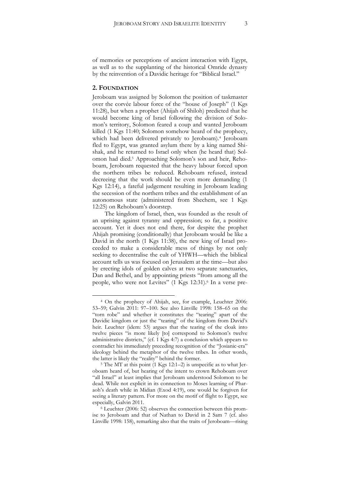of memories or perceptions of ancient interaction with Egypt, as well as to the supplanting of the historical Omride dynasty by the reinvention of a Davidic heritage for "Biblical Israel."

#### **2. FOUNDATION**

 $\overline{\phantom{a}}$ 

Jeroboam was assigned by Solomon the position of taskmaster over the corvée labour force of the "house of Joseph" (1 Kgs 11:28), but when a prophet (Ahijah of Shiloh) predicted that he would become king of Israel following the division of Solomon's territory, Solomon feared a coup and wanted Jeroboam killed (1 Kgs 11:40; Solomon somehow heard of the prophecy, which had been delivered privately to Jeroboam).<sup>4</sup> Jeroboam fled to Egypt, was granted asylum there by a king named Shishak, and he returned to Israel only when (he heard that) Solomon had died.<sup>5</sup> Approaching Solomon's son and heir, Rehoboam, Jeroboam requested that the heavy labour forced upon the northern tribes be reduced. Rehoboam refused, instead decreeing that the work should be even more demanding (1 Kgs 12:14), a fateful judgement resulting in Jeroboam leading the secession of the northern tribes and the establishment of an autonomous state (administered from Shechem, see 1 Kgs 12:25) on Rehoboam's doorstep.

The kingdom of Israel, then, was founded as the result of an uprising against tyranny and oppression; so far, a positive account. Yet it does not end there, for despite the prophet Ahijah promising (conditionally) that Jeroboam would be like a David in the north (1 Kgs 11:38), the new king of Israel proceeded to make a considerable mess of things by not only seeking to decentralise the cult of YHWH—which the biblical account tells us was focused on Jerusalem at the time—but also by erecting idols of golden calves at two separate sanctuaries, Dan and Bethel, and by appointing priests "from among all the people, who were not Levites" (1 Kgs 12:31).<sup>6</sup> In a verse pre-

<sup>4</sup> On the prophecy of Ahijah, see, for example, Leuchter 2006: 53–59; Galvin 2011: 97–100. See also Linville 1998: 158–65 on the "torn robe" and whether it constitutes the "tearing" apart of the Davidic kingdom or just the "tearing" of the kingdom from David's heir. Leuchter (idem: 53) argues that the tearing of the cloak into twelve pieces "is more likely [to] correspond to Solomon's twelve administrative districts," (cf. 1 Kgs 4:7) a conclusion which appears to contradict his immediately preceding recognition of the "Josianic-era" ideology behind the metaphor of the twelve tribes. In other words, the latter is likely the "reality" behind the former.

<sup>5</sup> The MT at this point (1 Kgs 12:1–2) is unspecific as to what Jeroboam heard of, but hearing of the intent to crown Rehoboam over "all Israel" at least implies that Jeroboam understood Solomon to be dead. While not explicit in its connection to Moses learning of Pharaoh's death while in Midian (Exod 4:19), one would be forgiven for seeing a literary pattern. For more on the motif of flight to Egypt, see especially, Galvin 2011.

<sup>6</sup> Leuchter (2006: 52) observes the connection between this promise to Jeroboam and that of Nathan to David in 2 Sam 7 (cf. also Linville 1998: 158), remarking also that the traits of Jeroboam—rising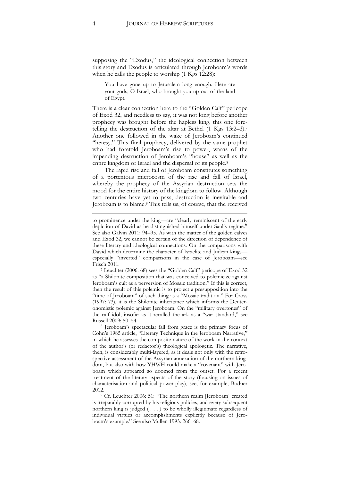supposing the "Exodus," the ideological connection between this story and Exodus is articulated through Jeroboam's words when he calls the people to worship (1 Kgs 12:28):

You have gone up to Jerusalem long enough. Here are your gods, O Israel, who brought you up out of the land of Egypt.

There is a clear connection here to the "Golden Calf" pericope of Exod 32, and needless to say, it was not long before another prophecy was brought before the hapless king, this one foretelling the destruction of the altar at Bethel (1 Kgs 13:2–3).<sup>7</sup> Another one followed in the wake of Jeroboam's continued "heresy." This final prophecy, delivered by the same prophet who had foretold Jeroboam's rise to power, warns of the impending destruction of Jeroboam's "house" as well as the entire kingdom of Israel and the dispersal of its people.<sup>8</sup>

The rapid rise and fall of Jeroboam constitutes something of a portentous microcosm of the rise and fall of Israel, whereby the prophecy of the Assyrian destruction sets the mood for the entire history of the kingdom to follow. Although two centuries have yet to pass, destruction is inevitable and Jeroboam is to blame.<sup>9</sup> This tells us, of course, that the received

<sup>7</sup> Leuchter (2006: 68) sees the "Golden Calf" pericope of Exod 32 as "a Shilonite composition that was conceived to polemicize against Jeroboam's cult as a perversion of Mosaic tradition." If this is correct, then the result of this polemic is to project a presupposition into the "time of Jeroboam" of such thing as a "Mosaic tradition." For Cross (1997: 73), it is the Shilonite inheritance which informs the Deuteronomistic polemic against Jeroboam. On the "military overtones" of the calf idol, insofar as it recalled the ark as a "war standard," see Russell 2009: 50–54.

8 Jeroboam's spectacular fall from grace is the primary focus of Cohn's 1985 article, "Literary Technique in the Jeroboam Narrative," in which he assesses the composite nature of the work in the context of the author's (or redactor's) theological apologetic. The narrative, then, is considerably multi-layered, as it deals not only with the retrospective assessment of the Assyrian annexation of the northern kingdom, but also with how YHWH could make a "covenant" with Jeroboam which appeared so doomed from the outset. For a recent treatment of the literary aspects of the story (focusing on issues of characterisation and political power-play), see, for example, Bodner 2012.

<sup>9</sup> Cf. Leuchter 2006: 51: "The northern realm [Jeroboam] created is irreparably corrupted by his religious policies, and every subsequent northern king is judged ( . . . ) to be wholly illegitimate regardless of individual virtues or accomplishments explicitly because of Jeroboam's example." See also Mullen 1993: 266–68.

to prominence under the king—are "clearly reminiscent of the early depiction of David as he distinguished himself under Saul's regime." See also Galvin 2011: 94–95. As with the matter of the golden calves and Exod 32, we cannot be certain of the direction of dependence of these literary and ideological connections. On the comparisons with David which determine the character of Israelite and Judean kings especially "inverted" comparisons in the case of Jeroboam—see Frisch 2011.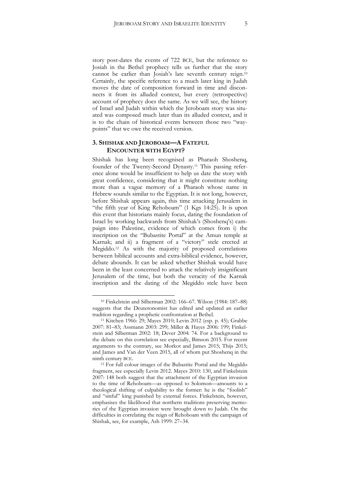story post-dates the events of 722 BCE, but the reference to Josiah in the Bethel prophecy tells us further that the story cannot be earlier than Josiah's late seventh century reign.<sup>10</sup> Certainly, the specific reference to a much later king in Judah moves the date of composition forward in time and disconnects it from its alluded context, but every (retrospective) account of prophecy does the same. As we will see, the history of Israel and Judah within which the Jeroboam story was situated was composed much later than its alluded context, and it is to the chain of historical events between those two "waypoints" that we owe the received version.

#### **3. SHISHAK AND JEROBOAM—A FATEFUL ENCOUNTER WITH EGYPT?**

Shishak has long been recognised as Pharaoh Shoshenq, founder of the Twenty-Second Dynasty.<sup>11</sup> This passing reference alone would be insufficient to help us date the story with great confidence, considering that it might constitute nothing more than a vague memory of a Pharaoh whose name in Hebrew sounds similar to the Egyptian. It is not long, however, before Shishak appears again, this time attacking Jerusalem in "the fifth year of King Rehoboam" (1 Kgs 14:25). It is upon this event that historians mainly focus, dating the foundation of Israel by working backwards from Shishak's (Shoshenq's) campaign into Palestine, evidence of which comes from i) the inscription on the "Bubastite Portal" at the Amun temple at Karnak; and ii) a fragment of a "victory" stele erected at Megiddo.<sup>12</sup> As with the majority of proposed correlations between biblical accounts and extra-biblical evidence, however, debate abounds. It can be asked whether Shishak would have been in the least concerned to attack the relatively insignificant Jerusalem of the time, but both the veracity of the Karnak inscription and the dating of the Megiddo stele have been

<sup>10</sup> Finkelstein and Silberman 2002: 166–67. Wilson (1984: 187–88) suggests that the Deuteronomist has edited and updated an earlier tradition regarding a prophetic confrontation at Bethel.

<sup>11</sup> Kitchen 1966: 29; Mayes 2010; Levin 2012 (esp. p. 45); Grabbe 2007: 81–83; Assmann 2003: 299; Miller & Hayes 2006: 199; Finkelstein and Silberman 2002: 18; Dever 2004: 74. For a background to the debate on this correlation see especially, Bimson 2015. For recent arguments to the contrary, see Morkot and James 2015; Thijs 2015; and James and Van der Veen 2015, all of whom put Shoshenq in the ninth century BCE.

<sup>12</sup> For full colour images of the Bubastite Portal and the Megiddo fragment, see especially Levin 2012. Mayes 2010: 130, and Finkelstein 2007: 148 both suggest that the attachment of the Egyptian invasion to the time of Rehoboam—as opposed to Solomon—amounts to a theological shifting of culpability to the former: he is the "foolish" and "sinful" king punished by external forces. Finkelstein, however, emphasises the likelihood that northern traditions preserving memories of the Egyptian invasion were brought down to Judah. On the difficulties in correlating the reign of Rehoboam with the campaign of Shishak, see, for example, Ash 1999: 27–34.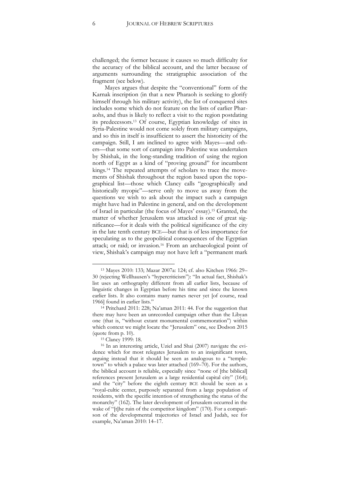challenged; the former because it causes so much difficulty for the accuracy of the biblical account, and the latter because of arguments surrounding the stratigraphic association of the fragment (see below).

Mayes argues that despite the "conventional" form of the Karnak inscription (in that a new Pharaoh is seeking to glorify himself through his military activity), the list of conquered sites includes some which do not feature on the lists of earlier Pharaohs, and thus is likely to reflect a visit to the region postdating its predecessors.<sup>13</sup> Of course, Egyptian knowledge of sites in Syria-Palestine would not come solely from military campaigns, and so this in itself is insufficient to assert the historicity of the campaign. Still, I am inclined to agree with Mayes—and others—that some sort of campaign into Palestine was undertaken by Shishak, in the long-standing tradition of using the region north of Egypt as a kind of "proving ground" for incumbent kings.<sup>14</sup> The repeated attempts of scholars to trace the movements of Shishak throughout the region based upon the topographical list—those which Clancy calls "geographically and historically myopic"—serve only to move us away from the questions we wish to ask about the impact such a campaign might have had in Palestine in general, and on the development of Israel in particular (the focus of Mayes' essay).<sup>15</sup> Granted, the matter of whether Jerusalem was attacked is one of great significance—for it deals with the political significance of the city in the late tenth century BCE—but that is of less importance for speculating as to the geopolitical consequences of the Egyptian attack; or raid; or invasion.<sup>16</sup> From an archaeological point of view, Shishak's campaign may not have left a "permanent mark

 $\overline{a}$ 

<sup>13</sup> Mayes 2010: 133; Mazar 2007a: 124; cf. also Kitchen 1966: 29– 30 (rejecting Wellhausen's "hypercriticism"): "In actual fact, Shishak's list uses an orthography different from all earlier lists, because of linguistic changes in Egyptian before his time and since the known earlier lists. It also contains many names never yet [of course, read 1966] found in earlier lists."

<sup>14</sup> Pritchard 2011: 228; Na'aman 2011: 44. For the suggestion that there may have been an unrecorded campaign other than the Libyan one (that is, "without extant monumental commemoration") within which context we might locate the "Jerusalem" one, see Dodson 2015 (quote from p. 10).

<sup>15</sup> Clancy 1999: 18.

<sup>16</sup> In an interesting article, Uziel and Shai (2007) navigate the evidence which for most relegates Jerusalem to an insignificant town, arguing instead that it should be seen as analogous to a "templetown" to which a palace was later attached (169–70). For the authors, the biblical account is reliable, especially since "none of [the biblical] references present Jerusalem as a large residential capital city" (164); and the "city" before the eighth century BCE should be seen as a "royal-cultic center, purposely separated from a large population of residents, with the specific intention of strengthening the status of the monarchy" (162). The later development of Jerusalem occurred in the wake of "[t]he ruin of the competitor kingdom" (170). For a comparison of the developmental trajectories of Israel and Judah, see for example, Na'aman 2010: 14–17.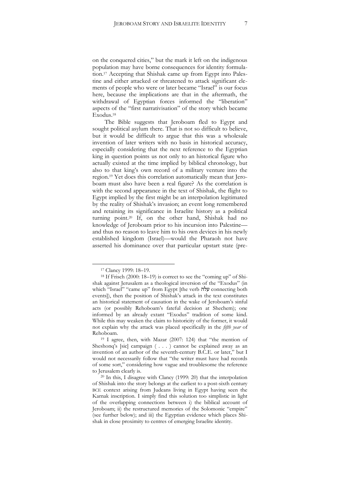on the conquered cities," but the mark it left on the indigenous population may have borne consequences for identity formulation. <sup>17</sup> Accepting that Shishak came up from Egypt into Palestine and either attacked or threatened to attack significant elements of people who were or later became "Israel" is our focus here, because the implications are that in the aftermath, the withdrawal of Egyptian forces informed the "liberation" aspects of the "first narrativisation" of the story which became Exodus.<sup>18</sup>

The Bible suggests that Jeroboam fled to Egypt and sought political asylum there. That is not so difficult to believe, but it would be difficult to argue that this was a wholesale invention of later writers with no basis in historical accuracy, especially considering that the next reference to the Egyptian king in question points us not only to an historical figure who actually existed at the time implied by biblical chronology, but also to that king's own record of a military venture into the region.<sup>19</sup> Yet does this correlation automatically mean that Jeroboam must also have been a real figure? As the correlation is with the second appearance in the text of Shishak, the flight to Egypt implied by the first might be an interpolation legitimated by the reality of Shishak's invasion; an event long remembered and retaining its significance in Israelite history as a political turning point.<sup>20</sup> If, on the other hand, Shishak had no knowledge of Jeroboam prior to his incursion into Palestine and thus no reason to leave him to his own devices in his newly established kingdom (Israel)—would the Pharaoh not have asserted his dominance over that particular upstart state (pre-

 $\overline{a}$ 

<sup>17</sup> Clancy 1999: 18–19.

<sup>18</sup> If Frisch (2000: 18–19) is correct to see the "coming up" of Shishak against Jerusalem as a theological inversion of the "Exodus" (in which "Israel" "came up" from Egypt [the verb עלה connecting both events]), then the position of Shishak's attack in the text constitutes an historical statement of causation in the wake of Jeroboam's sinful acts (or possibly Rehoboam's fateful decision at Shechem); one informed by an already extant "Exodus" tradition of some kind. While this may weaken the claim to historicity of the former, it would not explain why the attack was placed specifically in the *fifth year* of Rehoboam.

<sup>19</sup> I agree, then, with Mazar (2007: 124) that "the mention of Sheshonq's [sic] campaign ( . . . ) cannot be explained away as an invention of an author of the seventh-century B.C.E. or later," but I would not necessarily follow that "the writer must have had records of some sort," considering how vague and troublesome the reference to Jerusalem clearly is.

<sup>20</sup> In this, I disagree with Clancy (1999: 20) that the interpolation of Shishak into the story belongs at the earliest to a post-sixth century BCE context arising from Judeans living in Egypt having seen the Karnak inscription. I simply find this solution too simplistic in light of the overlapping connections between i) the biblical account of Jeroboam; ii) the restructured memories of the Solomonic "empire" (see further below); and iii) the Egyptian evidence which places Shishak in close proximity to centres of emerging Israelite identity.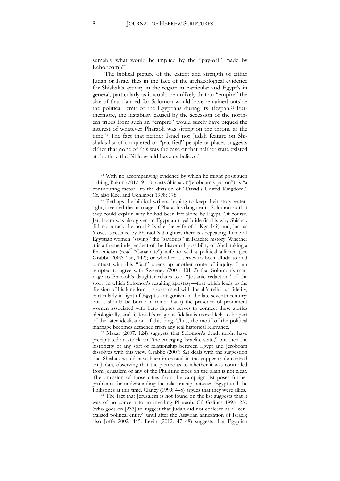sumably what would be implied by the "pay-off" made by Rehoboam)?<sup>21</sup>

The biblical picture of the extent and strength of either Judah or Israel flies in the face of the archaeological evidence for Shishak's activity in the region in particular and Egypt's in general, particularly as it would be unlikely that an "empire" the size of that claimed for Solomon would have remained outside the political remit of the Egyptians during its lifespan.<sup>22</sup> Furthermore, the instability caused by the secession of the northern tribes from such an "empire" would surely have piqued the interest of whatever Pharaoh was sitting on the throne at the time.<sup>23</sup> The fact that neither Israel nor Judah feature on Shishak's list of conquered or "pacified" people or places suggests either that none of this was the case or that neither state existed at the time the Bible would have us believe. 24

<sup>&</sup>lt;sup>21</sup> With no accompanying evidence by which he might posit such a thing, Bakon (2012: 9–10) casts Shishak ("Jeroboam's patron") as "a contributing factor" to the division of "David's United Kingdom." Cf. also Keel and Uehlinger 1998: 178.

<sup>22</sup> Perhaps the biblical writers, hoping to keep their story watertight, invented the marriage of Pharaoh's daughter to Solomon so that they could explain why he had been left alone by Egypt. Of course, Jeroboam was also given an Egyptian royal bride (is this why Shishak did not attack the north? Is she the wife of 1 Kgs 14?) and, just as Moses is rescued by Pharaoh's daughter, there is a repeating theme of Egyptian women "saving" the "saviours" in Israelite history. Whether it is a theme independent of the historical possibility of Ahab taking a Phoenician (read "Canaanite") wife to seal a political alliance (see Grabbe 2007: 136, 142); or whether it serves to both allude to and contrast with this "fact" opens up another route of inquiry. I am tempted to agree with Sweeney (2001: 101–2) that Solomon's marriage to Pharaoh's daughter relates to a "Josianic redaction" of the story, in which Solomon's resulting apostasy—that which leads to the division of his kingdom—is contrasted with Josiah's religious fidelity, particularly in light of Egypt's antagonism in the late seventh century; but it should be borne in mind that i) the presence of prominent women associated with hero figures serves to connect these stories ideologically; and ii) Josiah's religious fidelity is more likely to be part of the later idealisation of this king. Thus, the motif of the political marriage becomes detached from any real historical relevance.

<sup>23</sup> Mazar (2007: 124) suggests that Solomon's death might have precipitated an attack on "the emerging Israelite state," but then the historicity of any sort of relationship between Egypt and Jeroboam dissolves with this view. Grabbe (2007: 82) deals with the suggestion that Shishak would have been interested in the copper trade centred on Judah, observing that the picture as to whether it was controlled from Jerusalem or any of the Philistine cities on the plain is not clear. The omission of those cities from the campaign list poses further problems for understanding the relationship between Egypt and the Philistines at this time. Clancy (1999: 4–5) argues that they were allies.

<sup>&</sup>lt;sup>24</sup> The fact that Jerusalem is not found on the list suggests that it was of no concern to an invading Pharaoh. Cf. Gelinas 1995: 230 (who goes on [233] to suggest that Judah did not coalesce as a "centralised political entity" until after the Assyrian annexation of Israel); also Joffe 2002: 445. Levin (2012: 47–48) suggests that Egyptian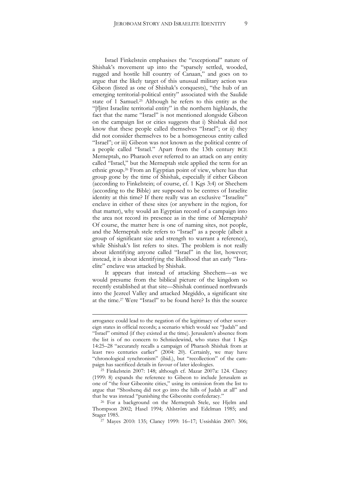Israel Finkelstein emphasises the "exceptional" nature of Shishak's movement up into the "sparsely settled, wooded, rugged and hostile hill country of Canaan," and goes on to argue that the likely target of this unusual military action was Gibeon (listed as one of Shishak's conquests), "the hub of an emerging territorial-political entity" associated with the Saulide state of 1 Samuel.<sup>25</sup> Although he refers to this entity as the "[f]irst Israelite territorial entity" in the northern highlands, the fact that the name "Israel" is not mentioned alongside Gibeon on the campaign list or cities suggests that i) Shishak did not know that these people called themselves "Israel"; or ii) they did not consider themselves to be a homogeneous entity called "Israel"; or iii) Gibeon was not known as the political centre of a people called "Israel." Apart from the 13th century BCE Merneptah, no Pharaoh ever referred to an attack on any entity called "Israel," but the Merneptah stele applied the term for an ethnic group.<sup>26</sup> From an Egyptian point of view, where has that group gone by the time of Shishak, especially if either Gibeon (according to Finkelstein; of course, cf. 1 Kgs 3:4) or Shechem (according to the Bible) are supposed to be centres of Israelite identity at this time? If there really was an exclusive "Israelite" enclave in either of these sites (or anywhere in the region, for that matter), why would an Egyptian record of a campaign into the area not record its presence as in the time of Merneptah? Of course, the matter here is one of naming sites, not people, and the Merneptah stele refers to "Israel" as a people (albeit a group of significant size and strength to warrant a reference), while Shishak's list refers to sites. The problem is not really about identifying anyone called "Israel" in the list, however; instead, it is about identifying the likelihood that an early "Israelite" enclave was attacked by Shishak.

It appears that instead of attacking Shechem—as we would presume from the biblical picture of the kingdom so recently established at that site—Shishak continued northwards into the Jezreel Valley and attacked Megiddo, a significant site at the time.<sup>27</sup> Were "Israel" to be found here? Is this the source

arrogance could lead to the negation of the legitimacy of other sovereign states in official records; a scenario which would see "Judah" and "Israel" omitted (if they existed at the time). Jerusalem's absence from the list is of no concern to Schniedewind, who states that 1 Kgs 14:25–28 "accurately recalls a campaign of Pharaoh Shishak from at least two centuries earlier" (2004: 20). Certainly, we may have "chronological synchronism" (ibid.), but "recollection" of the campaign has sacrificed details in favour of later ideologies.

<sup>25</sup> Finkelstein 2007: 148; although cf. Mazar 2007a: 124. Clancy (1999: 8) expands the reference to Gibeon to include Jerusalem as one of "the four Gibeonite cities," using its omission from the list to argue that "Shoshenq did not go into the hills of Judah at all" and that he was instead "punishing the Gibeonite confederacy."

<sup>26</sup> For a background on the Merneptah Stele, see Hjelm and Thompson 2002; Hasel 1994; Ahlström and Edelman 1985; and Stager 1985.

<sup>27</sup> Mayes 2010: 135; Clancy 1999: 16–17; Ussishkin 2007: 306;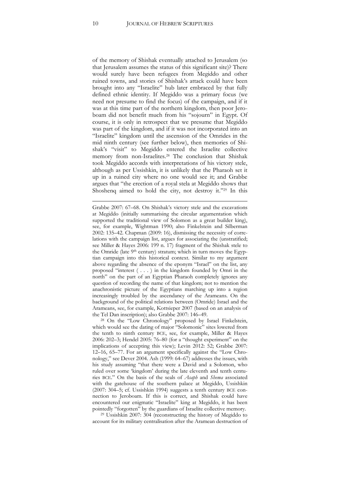of the memory of Shishak eventually attached to Jerusalem (so that Jerusalem assumes the status of this significant site)? There would surely have been refugees from Megiddo and other ruined towns, and stories of Shishak's attack could have been brought into any "Israelite" hub later embraced by that fully defined ethnic identity. If Megiddo was a primary focus (we need not presume to find the focus) of the campaign, and if it was at this time part of the northern kingdom, then poor Jeroboam did not benefit much from his "sojourn" in Egypt. Of course, it is only in retrospect that we presume that Megiddo was part of the kingdom, and if it was not incorporated into an "Israelite" kingdom until the ascension of the Omrides in the mid ninth century (see further below), then memories of Shishak's "visit" to Megiddo entered the Israelite collective memory from non-Israelites.<sup>28</sup> The conclusion that Shishak took Megiddo accords with interpretations of his victory stele, although as per Ussishkin, it is unlikely that the Pharaoh set it up in a ruined city where no one would see it; and Grabbe argues that "the erection of a royal stela at Megiddo shows that Shoshenq aimed to hold the city, not destroy it."<sup>29</sup> In this

Grabbe 2007: 67–68. On Shishak's victory stele and the excavations at Megiddo (initially summarising the circular argumentation which supported the traditional view of Solomon as a great builder king), see, for example, Wightman 1990; also Finkelstein and Silberman 2002: 135–42. Chapman (2009: 16), dismissing the necessity of correlations with the campaign list, argues for associating the (unstratified; see Miller & Hayes 2006: 199 n. 17) fragment of the Shishak stele to the Omride (late 9<sup>th</sup> century) stratum; which in turn moves the Egyptian campaign into this historical context. Similar to my argument above regarding the absence of the eponym "Israel" on the list, any proposed "interest ( . . . ) in the kingdom founded by Omri in the north" on the part of an Egyptian Pharaoh completely ignores any question of recording the name of that kingdom; not to mention the anachronistic picture of the Egyptians marching up into a region increasingly troubled by the ascendancy of the Arameans. On the background of the political relations between (Omride) Israel and the Arameans, see, for example, Kottsieper 2007 (based on an analysis of the Tel Dan inscription); also Grabbe 2007: 146–49.

<sup>28</sup> On the "Low Chronology" proposed by Israel Finkelstein, which would see the dating of major "Solomonic" sites lowered from the tenth to ninth century BCE, see, for example, Miller & Hayes 2006: 202–3; Hendel 2005: 76–80 (for a "thought experiment" on the implications of accepting this view); Levin 2012: 52; Grabbe 2007: 12–16, 65–77. For an argument specifically against the "Low Chronology," see Dever 2004. Ash (1999: 64–67) addresses the issues, with his study assuming "that there were a David and a Solomon, who ruled over some 'kingdom' during the late eleventh and tenth centuries BCE." On the basis of the seals of *Asaph* and *Shema* associated with the gatehouse of the southern palace at Megiddo, Ussishkin (2007: 304–5; cf. Ussishkin 1994) suggests a tenth century BCE connection to Jeroboam. If this is correct, and Shishak could have encountered our enigmatic "Israelite" king at Megiddo, it has been pointedly "forgotten" by the guardians of Israelite collective memory.

<sup>29</sup> Ussishkin 2007: 304 (reconstructing the history of Megiddo to account for its military centralisation after the Aramean destruction of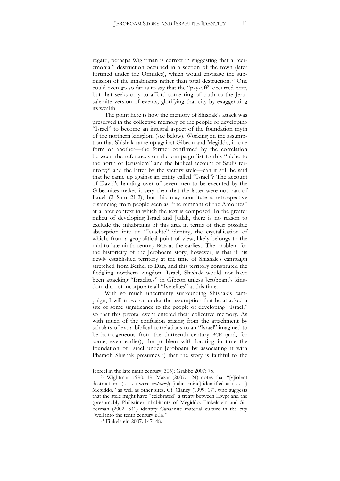regard, perhaps Wightman is correct in suggesting that a "ceremonial" destruction occurred in a section of the town (later fortified under the Omrides), which would envisage the submission of the inhabitants rather than total destruction.<sup>30</sup> One could even go so far as to say that the "pay-off" occurred here, but that seeks only to afford some ring of truth to the Jerusalemite version of events, glorifying that city by exaggerating its wealth.

The point here is how the memory of Shishak's attack was preserved in the collective memory of the people of developing "Israel" to become an integral aspect of the foundation myth of the northern kingdom (see below). Working on the assumption that Shishak came up against Gibeon and Megiddo, in one form or another—the former confirmed by the correlation between the references on the campaign list to this "niche to the north of Jerusalem" and the biblical account of Saul's territory;<sup>31</sup> and the latter by the victory stele—can it still be said that he came up against an entity called "Israel"? The account of David's handing over of seven men to be executed by the Gibeonites makes it very clear that the latter were not part of Israel (2 Sam 21:2), but this may constitute a retrospective distancing from people seen as "the remnant of the Amorites" at a later context in which the text is composed. In the greater milieu of developing Israel and Judah, there is no reason to exclude the inhabitants of this area in terms of their possible absorption into an "Israelite" identity, the crystallisation of which, from a geopolitical point of view, likely belongs to the mid to late ninth century BCE at the earliest. The problem for the historicity of the Jeroboam story, however, is that if his newly established territory at the time of Shishak's campaign stretched from Bethel to Dan, and this territory constituted the fledgling northern kingdom Israel, Shishak would not have been attacking "Israelites" in Gibeon unless Jeroboam's kingdom did not incorporate all "Israelites" at this time.

With so much uncertainty surrounding Shishak's campaign, I will move on under the assumption that he attacked a site of some significance to the people of developing "Israel," so that this pivotal event entered their collective memory. As with much of the confusion arising from the attachment by scholars of extra-biblical correlations to an "Israel" imagined to be homogeneous from the thirteenth century BCE (and, for some, even earlier), the problem with locating in time the foundation of Israel under Jeroboam by associating it with Pharaoh Shishak presumes i) that the story is faithful to the

Jezreel in the late ninth century; 306); Grabbe 2007: 75.

<sup>30</sup> Wightman 1990: 19. Mazar (2007: 124) notes that "[v]iolent destructions ( . . . ) were *tentatively* [italics mine] identified at ( . . . ) Megiddo," as well as other sites. Cf. Clancy (1999: 17), who suggests that the stele might have "celebrated" a treaty between Egypt and the (presumably Philistine) inhabitants of Megiddo. Finkelstein and Silberman (2002: 341) identify Canaanite material culture in the city "well into the tenth century BCE."

<sup>31</sup> Finkelstein 2007: 147–48.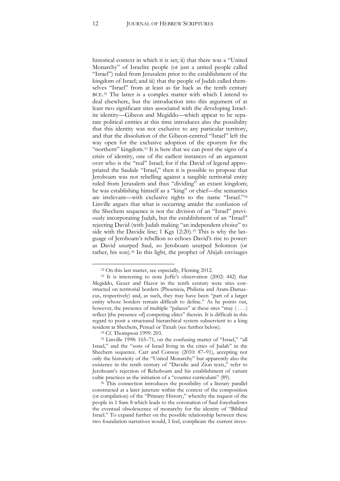historical context in which it is set; ii) that there was a "United Monarchy" of Israelite people (or just a united people called "Israel") ruled from Jerusalem prior to the establishment of the kingdom of Israel; and iii) that the people of Judah called themselves "Israel" from at least as far back as the tenth century BCE.<sup>32</sup> The latter is a complex matter with which I intend to deal elsewhere, but the introduction into this argument of at least two significant sites associated with the developing Israelite identity—Gibeon and Megiddo—which appear to be separate political entities at this time introduces also the possibility that this identity was not exclusive to any particular territory, and that the dissolution of the Gibeon-centred "Israel" left the way open for the exclusive adoption of the eponym for the "northern" kingdom.<sup>33</sup> It is here that we can posit the signs of a crisis of identity, one of the earliest instances of an argument over who is the "real" Israel; for if the David of legend appropriated the Saulide "Israel," then it is possible to propose that Jeroboam was not rebelling against a tangible territorial entity ruled from Jerusalem and thus "dividing" an extant kingdom; he was establishing himself as a "king" or chief—the semantics are irrelevant—with exclusive rights to the name "Israel."<sup>34</sup> Linville argues that what is occurring amidst the confusion of the Shechem sequence is not the division of an "Israel" previously incorporating Judah, but the establishment of an "Israel" rejecting David (with Judah making "an independent choice" to side with the Davidic line; 1 Kgs 12:20).<sup>35</sup> This is why the language of Jeroboam's rebellion so echoes David's rise to power: as David usurped Saul, so Jeroboam usurped Solomon (or rather, his son).<sup>36</sup> In this light, the prophet of Ahijah envisages

<sup>34</sup> Cf. Thompson 1999: 203.

 $\overline{a}$ 

<sup>32</sup> On this last matter, see especially, Fleming 2012.

<sup>33</sup> It is interesting to note Joffe's observation (2002: 442) that Megiddo, Gezer and Hazor in the tenth century were sites constructed on territorial borders (Phoenicia, Philistia and Aram-Damascus, respectively) and, as such, they may have been "part of a larger entity whose borders remain difficult to define." As he points out, however, the presence of multiple "palaces" at these sites "may  $(\ldots)$ reflect [the presence of] competing elites" therein. It is difficult in this regard to posit a structured hierarchical system subservient to a king resident at Shechem, Penuel or Tirzah (see further below).

<sup>35</sup> Linville 1998: 165–71, on the confusing matter of "Israel," "all Israel," and the "sons of Israel living in the cities of Judah" in the Shechem sequence. Carr and Conway (2010: 87–91), accepting not only the historicity of the "United Monarchy" but apparently also the existence in the tenth century of "Davidic and Zion texts," refer to Jeroboam's rejection of Rehoboam and his establishment of variant cultic practices as the initiation of a "counter curriculum" (89).

<sup>&</sup>lt;sup>36</sup> This connection introduces the possibility of a literary parallel constructed at a later juncture within the context of the composition (or compilation) of the "Primary History," whereby the request of the people in 1 Sam 8 which leads to the coronation of Saul foreshadows the eventual obsolescence of monarchy for the identity of "Biblical Israel." To expand further on the possible relationship between these two foundation narratives would, I feel, complicate the current inves-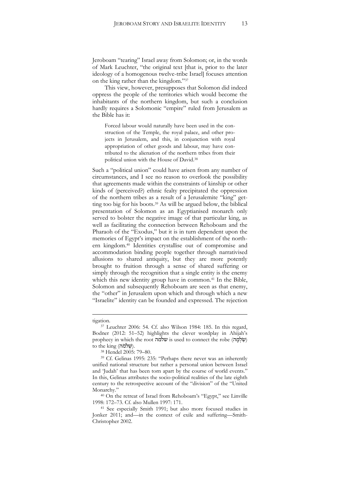Jeroboam "tearing" Israel away from Solomon; or, in the words of Mark Leuchter, "the original text [that is, prior to the later ideology of a homogenous twelve-tribe Israel] focuses attention on the king rather than the kingdom."<sup>37</sup>

This view, however, presupposes that Solomon did indeed oppress the people of the territories which would become the inhabitants of the northern kingdom, but such a conclusion hardly requires a Solomonic "empire" ruled from Jerusalem as the Bible has it:

Forced labour would naturally have been used in the construction of the Temple, the royal palace, and other projects in Jerusalem, and this, in conjunction with royal appropriation of other goods and labour, may have contributed to the alienation of the northern tribes from their political union with the House of David.<sup>38</sup>

Such a "political union" could have arisen from any number of circumstances, and I see no reason to overlook the possibility that agreements made within the constraints of kinship or other kinds of (perceived?) ethnic fealty precipitated the oppression of the northern tribes as a result of a Jerusalemite "king" getting too big for his boots.<sup>39</sup> As will be argued below, the biblical presentation of Solomon as an Egyptianised monarch only served to bolster the negative image of that particular king, as well as facilitating the connection between Rehoboam and the Pharaoh of the "Exodus," but it is in turn dependent upon the memories of Egypt's impact on the establishment of the northern kingdom.<sup>40</sup> Identities crystallise out of compromise and accommodation binding people together through narrativised allusions to shared antiquity, but they are more potently brought to fruition through a sense of shared suffering or simply through the recognition that a single entity is the enemy which this new identity group have in common.<sup>41</sup> In the Bible, Solomon and subsequently Rehoboam are seen as that enemy, the "other" in Jerusalem upon which and through which a new "Israelite" identity can be founded and expressed. The rejection

tigation.

<sup>37</sup> Leuchter 2006: 54. Cf. also Wilson 1984: 185. In this regard, Bodner (2012: 51–52) highlights the clever wordplay in Ahijah's prophecy in which the root שלמה is used to connect the robe (שַׁלְמָה) to the king (שְׁלֹמה)

<sup>38</sup> Hendel 2005: 79–80.

<sup>39</sup> Cf. Gelinas 1995: 235: "Perhaps there never was an inherently unified national structure but rather a personal union between Israel and 'Judah' that has been torn apart by the course of world events." In this, Gelinas attributes the socio-political realities of the late eighth century to the retrospective account of the "division" of the "United Monarchy."

<sup>40</sup> On the retreat of Israel from Rehoboam's "Egypt," see Linville 1998: 172–73. Cf. also Mullen 1997: 171.

<sup>41</sup> See especially Smith 1991; but also more focused studies in Jonker 2011; and—in the context of exile and suffering—Smith-Christopher 2002.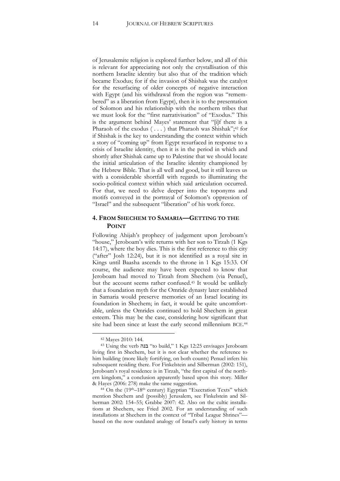of Jerusalemite religion is explored further below, and all of this is relevant for appreciating not only the crystallisation of this northern Israelite identity but also that of the tradition which became Exodus; for if the invasion of Shishak was the catalyst for the resurfacing of older concepts of negative interaction with Egypt (and his withdrawal from the region was "remembered" as a liberation from Egypt), then it is to the presentation of Solomon and his relationship with the northern tribes that we must look for the "first narrativisation" of "Exodus." This is the argument behind Mayes' statement that "[i]f there is a Pharaoh of the exodus ( . . . ) that Pharaoh was Shishak";<sup>42</sup> for if Shishak is the key to understanding the context within which a story of "coming up" from Egypt resurfaced in response to a crisis of Israelite identity, then it is in the period in which and shortly after Shishak came up to Palestine that we should locate the initial articulation of the Israelite identity championed by the Hebrew Bible. That is all well and good, but it still leaves us with a considerable shortfall with regards to illuminating the socio-political context within which said articulation occurred. For that, we need to delve deeper into the toponyms and motifs conveyed in the portrayal of Solomon's oppression of "Israel" and the subsequent "liberation" of his work force.

#### **4. FROM SHECHEM TO SAMARIA—GETTING TO THE POINT**

Following Ahijah's prophecy of judgement upon Jeroboam's "house," Jeroboam's wife returns with her son to Tirzah (1 Kgs 14:17), where the boy dies. This is the first reference to this city ("after" Josh 12:24), but it is not identified as a royal site in Kings until Baasha ascends to the throne in 1 Kgs 15:33. Of course, the audience may have been expected to know that Jeroboam had moved to Tirzah from Shechem (via Penuel), but the account seems rather confused.<sup>43</sup> It would be unlikely that a foundation myth for the Omride dynasty later established in Samaria would preserve memories of an Israel locating its foundation in Shechem; in fact, it would be quite uncomfortable, unless the Omrides continued to hold Shechem in great esteem. This may be the case, considering how significant that site had been since at least the early second millennium BCE.<sup>44</sup>

<sup>42</sup> Mayes 2010: 144.

<sup>43</sup> Using the verb בנה" to build," 1 Kgs 12:25 envisages Jeroboam living first in Shechem, but it is not clear whether the reference to him building (more likely fortifying, on both counts) Penuel infers his subsequent residing there. For Finkelstein and Silberman (2002: 151), Jeroboam's royal residence is in Tirzah, "the first capital of the northern kingdom," a conclusion apparently based upon this story. Miller & Hayes (2006: 278) make the same suggestion.

<sup>&</sup>lt;sup>44</sup> On the (19<sup>th</sup>–18<sup>th</sup> century) Egyptian "Execration Texts" which mention Shechem and (possibly) Jerusalem, see Finkelstein and Silberman 2002: 154–55; Grabbe 2007: 42. Also on the cultic installations at Shechem, see Fried 2002. For an understanding of such installations at Shechem in the context of "Tribal League Shrines" based on the now outdated analogy of Israel's early history in terms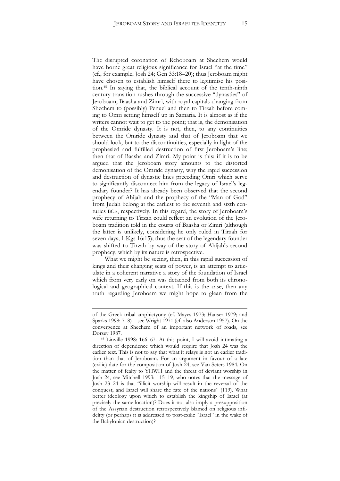The disrupted coronation of Rehoboam at Shechem would have borne great religious significance for Israel "at the time" (cf., for example, Josh 24; Gen 33:18–20); thus Jeroboam might have chosen to establish himself there to legitimise his position.<sup>45</sup> In saying that, the biblical account of the tenth-ninth century transition rushes through the successive "dynasties" of Jeroboam, Baasha and Zimri, with royal capitals changing from Shechem to (possibly) Penuel and then to Tirzah before coming to Omri setting himself up in Samaria. It is almost as if the writers cannot wait to get to the point; that is, the demonisation of the Omride dynasty. It is not, then, to any continuities between the Omride dynasty and that of Jeroboam that we should look, but to the discontinuities, especially in light of the prophesied and fulfilled destruction of first Jeroboam's line; then that of Baasha and Zimri. My point is this: if it is to be argued that the Jeroboam story amounts to the distorted demonisation of the Omride dynasty, why the rapid succession and destruction of dynastic lines preceding Omri which serve to significantly disconnect him from the legacy of Israel's legendary founder? It has already been observed that the second prophecy of Ahijah and the prophecy of the "Man of God" from Judah belong at the earliest to the seventh and sixth centuries BCE, respectively. In this regard, the story of Jeroboam's wife returning to Tirzah could reflect an evolution of the Jeroboam tradition told in the courts of Baasha or Zimri (although the latter is unlikely, considering he only ruled in Tirzah for seven days; 1 Kgs 16:15); thus the seat of the legendary founder was shifted to Tirzah by way of the story of Ahijah's second prophecy, which by its nature is retrospective.

What we might be seeing, then, in this rapid succession of kings and their changing seats of power, is an attempt to articulate in a coherent narrative a story of the foundation of Israel which from very early on was detached from both its chronological and geographical context. If this is the case, then any truth regarding Jeroboam we might hope to glean from the

of the Greek tribal amphictyony (cf. Mayes 1973; Hauser 1979; and Sparks 1998: 7–8)—see Wright 1971 (cf. also Anderson 1957). On the convergence at Shechem of an important network of roads, see Dorsey 1987.

<sup>45</sup> Linville 1998: 166–67. At this point, I will avoid intimating a direction of dependence which would require that Josh 24 was the earlier text. This is not to say that what it relays is not an earlier tradition than that of Jeroboam. For an argument in favour of a late (exilic) date for the composition of Josh 24, see Van Seters 1984. On the matter of fealty to YHWH and the threat of deviant worship in Josh 24, see Mitchell 1993: 115–19, who notes that the message of Josh 23–24 is that "illicit worship will result in the reversal of the conquest, and Israel will share the fate of the nations" (119). What better ideology upon which to establish the kingship of Israel (at precisely the same location)? Does it not also imply a presupposition of the Assyrian destruction retrospectively blamed on religious infidelity (or perhaps it is addressed to post-exilic "Israel" in the wake of the Babylonian destruction)?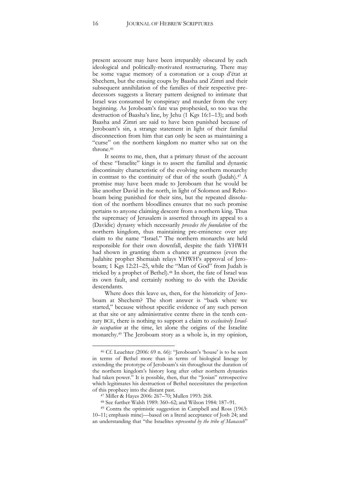present account may have been irreparably obscured by each ideological and politically-motivated restructuring. There may be some vague memory of a coronation or a coup d'état at Shechem, but the ensuing coups by Baasha and Zimri and their subsequent annihilation of the families of their respective predecessors suggests a literary pattern designed to intimate that Israel was consumed by conspiracy and murder from the very beginning. As Jeroboam's fate was prophesied, so too was the destruction of Baasha's line, by Jehu (1 Kgs 16:1–13); and both Baasha and Zimri are said to have been punished because of Jeroboam's sin, a strange statement in light of their familial disconnection from him that can only be seen as maintaining a "curse" on the northern kingdom no matter who sat on the throne.<sup>46</sup>

It seems to me, then, that a primary thrust of the account of these "Israelite" kings is to assert the familial and dynastic discontinuity characteristic of the evolving northern monarchy in contrast to the continuity of that of the south (Judah).<sup>47</sup> A promise may have been made to Jeroboam that he would be like another David in the north, in light of Solomon and Rehoboam being punished for their sins, but the repeated dissolution of the northern bloodlines ensures that no such promise pertains to anyone claiming descent from a northern king. Thus the supremacy of Jerusalem is asserted through its appeal to a (Davidic) dynasty which necessarily *precedes the foundation* of the northern kingdom, thus maintaining pre-eminence over any claim to the name "Israel." The northern monarchs are held responsible for their own downfall, despite the faith YHWH had shown in granting them a chance at greatness (even the Judahite prophet Shemaiah relays YHWH's approval of Jeroboam; 1 Kgs 12:21–25, while the "Man of God" from Judah is tricked by a prophet of Bethel).<sup>48</sup> In short, the fate of Israel was its own fault, and certainly nothing to do with the Davidic descendants.

Where does this leave us, then, for the historicity of Jeroboam at Shechem? The short answer is "back where we started," because without specific evidence of any such person at that site or any administrative centre there in the tenth century BCE, there is nothing to support a claim to *exclusively Israelite occupation* at the time, let alone the origins of the Israelite monarchy.<sup>49</sup> The Jeroboam story as a whole is, in my opinion,

<sup>46</sup> Cf. Leuchter (2006: 69 n. 66): "Jeroboam's 'house' is to be seen in terms of Bethel more than in terms of biological lineage by extending the prototype of Jeroboam's sin throughout the duration of the northern kingdom's history long after other northern dynasties had taken power." It is possible, then, that the "Josian" retrospective which legitimates his destruction of Bethel necessitates the projection of this prophecy into the distant past.

<sup>47</sup> Miller & Hayes 2006: 267–70; Mullen 1993: 268.

<sup>48</sup> See further Walsh 1989: 360–62; and Wilson 1984: 187–91.

<sup>49</sup> Contra the optimistic suggestion in Campbell and Ross (1963: 10–11; emphasis mine)—based on a literal acceptance of Josh 24; and an understanding that "the Israelites *represented by the tribe of Manasseh*"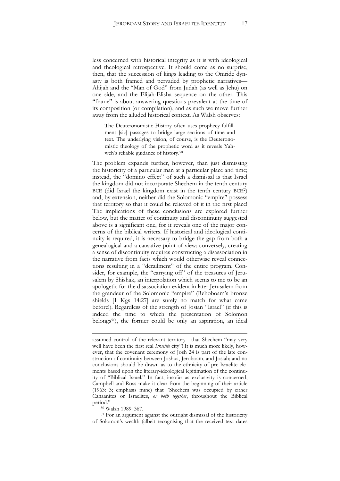less concerned with historical integrity as it is with ideological and theological retrospective. It should come as no surprise, then, that the succession of kings leading to the Omride dynasty is both framed and pervaded by prophetic narratives— Ahijah and the "Man of God" from Judah (as well as Jehu) on one side, and the Elijah-Elisha sequence on the other. This "frame" is about answering questions prevalent at the time of its composition (or compilation), and as such we move further away from the alluded historical context. As Walsh observes:

The Deuteronomistic History often uses prophecy-fulfillment [sic] passages to bridge large sections of time and text. The underlying vision, of course, is the Deuteronomistic theology of the prophetic word as it reveals Yahweh's reliable guidance of history.<sup>50</sup>

The problem expands further, however, than just dismissing the historicity of a particular man at a particular place and time; instead, the "domino effect" of such a dismissal is that Israel the kingdom did not incorporate Shechem in the tenth century BCE (did Israel the kingdom exist in the tenth century BCE?) and, by extension, neither did the Solomonic "empire" possess that territory so that it could be relieved of it in the first place! The implications of these conclusions are explored further below, but the matter of continuity and discontinuity suggested above is a significant one, for it reveals one of the major concerns of the biblical writers. If historical and ideological continuity is required, it is necessary to bridge the gap from both a genealogical and a causative point of view; conversely, creating a sense of discontinuity requires constructing a disassociation in the narrative from facts which would otherwise reveal connections resulting in a "derailment" of the entire program. Consider, for example, the "carrying off" of the treasures of Jerusalem by Shishak, an interpolation which seems to me to be an apologetic for the disassociation evident in later Jerusalem from the grandeur of the Solomonic "empire" (Rehoboam's bronze shields [1 Kgs 14:27] are surely no match for what came before!). Regardless of the strength of Josian "Israel" (if this is indeed the time to which the presentation of Solomon belongs<sup>51</sup>), the former could be only an aspiration, an ideal

<sup>50</sup> Walsh 1989: 367.

1

<sup>51</sup> For an argument against the outright dismissal of the historicity of Solomon's wealth (albeit recognising that the received text dates

assumed control of the relevant territory—that Shechem "may very well have been the first real *Israelite* city"! It is much more likely, however, that the covenant ceremony of Josh 24 is part of the late construction of continuity between Joshua, Jeroboam, and Josiah; and no conclusions should be drawn as to the ethnicity of pre-Israelite elements based upon the literary-ideological legitimation of the continuity of "Biblical Israel." In fact, insofar as exclusivity is concerned, Campbell and Ross make it clear from the beginning of their article (1963: 3; emphasis mine) that "Shechem was occupied by either Canaanites or Israelites, *or both together*, throughout the Biblical period."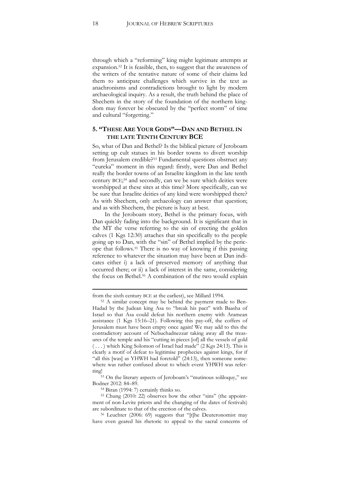through which a "reforming" king might legitimate attempts at expansion.<sup>52</sup> It is feasible, then, to suggest that the awareness of the writers of the tentative nature of some of their claims led them to anticipate challenges which survive in the text as anachronisms and contradictions brought to light by modern archaeological inquiry. As a result, the truth behind the place of Shechem in the story of the foundation of the northern kingdom may forever be obscured by the "perfect storm" of time and cultural "forgetting."

# **5. "THESE ARE YOUR GODS"—DAN AND BETHEL IN THE LATE TENTH CENTURY BCE**

So, what of Dan and Bethel? Is the biblical picture of Jeroboam setting up cult statues in his border towns to divert worship from Jerusalem credible?<sup>53</sup> Fundamental questions obstruct any "eureka" moment in this regard: firstly, were Dan and Bethel really the border towns of an Israelite kingdom in the late tenth century BCE; <sup>54</sup> and secondly, can we be sure which deities were worshipped at these sites at this time? More specifically, can we be sure that Israelite deities of any kind were worshipped there? As with Shechem, only archaeology can answer that question; and as with Shechem, the picture is hazy at best.

In the Jeroboam story, Bethel is the primary focus, with Dan quickly fading into the background. It is significant that in the MT the verse referring to the sin of erecting the golden calves (1 Kgs 12:30) attaches that sin specifically to the people going up to Dan, with the "sin" of Bethel implied by the pericope that follows.<sup>55</sup> There is no way of knowing if this passing reference to whatever the situation may have been at Dan indicates either i) a lack of preserved memory of anything that occurred there; or ii) a lack of interest in the same, considering the focus on Bethel.<sup>56</sup> A combination of the two would explain

<sup>54</sup> Biran (1994: 7) certainly thinks so.

<sup>56</sup> Leuchter (2006: 69) suggests that "[t]he Deuteronomist may have even geared his rhetoric to appeal to the sacral concerns of

from the sixth century BCE at the earliest), see Millard 1994.

<sup>52</sup> A similar concept may be behind the payment made to Ben-Hadad by the Judean king Asa to "break his pact" with Baasha of Israel so that Asa could defeat his northern enemy with Aramean assistance (1 Kgs 15:16–21). Following this pay-off, the coffers of Jerusalem must have been empty once again! We may add to this the contradictory account of Nebuchadnezzar taking away all the treasures of the temple and his "cutting in pieces [of] all the vessels of gold ( . . . ) which King Solomon of Israel had made" (2 Kgs 24:13). This is clearly a motif of defeat to legitimise prophecies against kings, for if "all this [was] as YHWH had foretold" (24:13), then someone somewhere was rather confused about to which event YHWH was referring!

<sup>&</sup>lt;sup>53</sup> On the literary aspects of Jeroboam's "mutinous soliloquy," see Bodner 2012: 84–89.

<sup>55</sup> Chung (2010: 22) observes how the other "sins" (the appointment of non-Levite priests and the changing of the dates of festivals) are subordinate to that of the erection of the calves.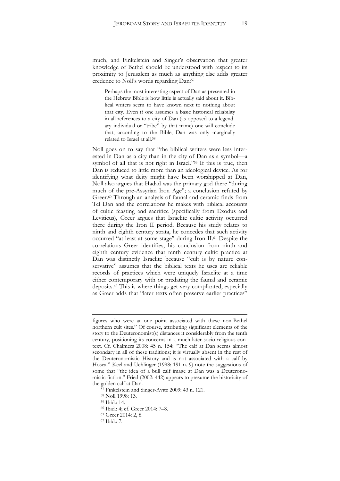much, and Finkelstein and Singer's observation that greater knowledge of Bethel should be understood with respect to its proximity to Jerusalem as much as anything else adds greater credence to Noll's words regarding Dan:<sup>57</sup>

Perhaps the most interesting aspect of Dan as presented in the Hebrew Bible is how little is actually said about it. Biblical writers seem to have known next to nothing about that city. Even if one assumes a basic historical reliability in all references to a city of Dan (as opposed to a legendary individual or "tribe" by that name) one will conclude that, according to the Bible, Dan was only marginally related to Israel at all.<sup>58</sup>

Noll goes on to say that "the biblical writers were less interested in Dan as a city than in the city of Dan as a symbol—a symbol of all that is not right in Israel."<sup>59</sup> If this is true, then Dan is reduced to little more than an ideological device. As for identifying what deity might have been worshipped at Dan, Noll also argues that Hadad was the primary god there "during much of the pre-Assyrian Iron Age"; a conclusion refuted by Greer.<sup>60</sup> Through an analysis of faunal and ceramic finds from Tel Dan and the correlations he makes with biblical accounts of cultic feasting and sacrifice (specifically from Exodus and Leviticus), Greer argues that Israelite cultic activity occurred there during the Iron II period. Because his study relates to ninth and eighth century strata, he concedes that such activity occurred "at least at some stage" during Iron II.<sup>61</sup> Despite the correlations Greer identifies, his conclusion from ninth and eighth century evidence that tenth century cultic practice at Dan was distinctly Israelite because "cult is by nature conservative" assumes that the biblical texts he uses are reliable records of practices which were uniquely Israelite at a time either contemporary with or predating the faunal and ceramic deposits.<sup>62</sup> This is where things get very complicated, especially as Greer adds that "later texts often preserve earlier practices"

figures who were at one point associated with these non-Bethel northern cult sites." Of course, attributing significant elements of the story to the Deuteronomist(s) distances it considerably from the tenth century, positioning its concerns in a much later socio-religious context. Cf. Chalmers 2008: 45 n. 154: "The calf at Dan seems almost secondary in all of these traditions; it is virtually absent in the rest of the Deuteronomistic History and is not associated with a calf by Hosea." Keel and Uehlinger (1998: 191 n. 9) note the suggestions of some that "the idea of a bull calf image at Dan was a Deuteronomistic fiction." Fried (2002: 442) appears to presume the historicity of the golden calf at Dan.

<sup>&</sup>lt;sup>57</sup> Finkelstein and Singer-Avitz 2009: 43 n. 121.

<sup>58</sup> Noll 1998: 13.

<sup>59</sup> Ibid.: 14.

<sup>60</sup> Ibid.: 4; cf. Greer 2014: 7–8.

<sup>61</sup> Greer 2014: 2, 8.

<sup>62</sup> Ibid.: 7.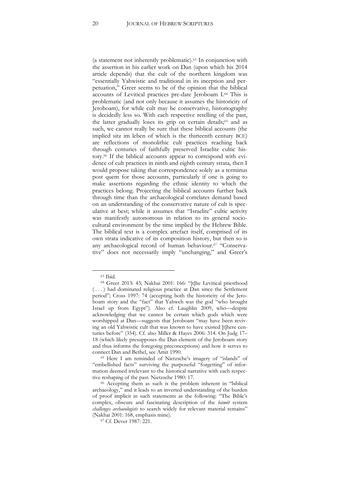(a statement not inherently problematic).<sup>63</sup> In conjunction with the assertion in his earlier work on Dan (upon which his 2014 article depends) that the cult of the northern kingdom was "essentially Yahwistic and traditional in its inception and perpetuation," Greer seems to be of the opinion that the biblical accounts of Levitical practices pre-date Jeroboam I.<sup>64</sup> This is problematic (and not only because it assumes the historicity of Jeroboam), for while cult may be conservative, historiography is decidedly less so. With each respective retelling of the past, the latter gradually loses its grip on certain details;<sup>65</sup> and as such, we cannot really be sure that these biblical accounts (the implied sitz im leben of which is the thirteenth century BCE) are reflections of monolithic cult practices reaching back through centuries of faithfully preserved Israelite cultic history.<sup>66</sup> If the biblical accounts appear to correspond with evidence of cult practices in ninth and eighth century strata, then I would propose taking that correspondence solely as a terminus post quem for those accounts, particularly if one is going to make assertions regarding the ethnic identity to which the practices belong. Projecting the biblical accounts further back through time than the archaeological correlates demand based on an understanding of the conservative nature of cult is speculative at best; while it assumes that "Israelite" cultic activity was manifestly autonomous in relation to its general sociocultural environment by the time implied by the Hebrew Bible. The biblical text is a complex artefact itself, comprised of its own strata indicative of its composition history, but then so is any archaeological record of human behaviour.<sup>67</sup> "Conservative" does not necessarily imply "unchanging," and Greer's

<sup>63</sup> Ibid.

<sup>64</sup> Greer 2013: 43; Nakhai 2001: 166: "[t]he Levitical priesthood ( . . . ) had dominated religious practice at Dan since the Settlement period"; Cross 1997: 74 (accepting both the historicity of the Jeroboam story and the "fact" that Yahweh was the god "who brought Israel up from Egypt"). Also cf. Laughlin 2009, who—despite acknowledging that we cannot be certain which gods which were worshipped at Dan—suggests that Jeroboam "may have been reviving an old Yahwistic cult that was known to have existed [t]here centuries before" (354). Cf. also Miller & Hayes 2006: 314. On Judg 17– 18 (which likely presupposes the Dan element of the Jeroboam story and thus informs the foregoing preconceptions) and how it serves to connect Dan and Bethel, see Amit 1990.

<sup>65</sup> Here I am reminded of Nietzsche's imagery of "islands" of "embellished facts" surviving the purposeful "forgetting" of information deemed irrelevant to the historical narrative with each respective reshaping of the past. Nietzsche 1980: 17.

<sup>66</sup> Accepting them as such is the problem inherent in "biblical archaeology," and it leads to an inverted understanding of the burden of proof implicit in such statements as the following: "The Bible's complex, obscure and fascinating description of the *bāmôt* system *challenges archaeologists* to search widely for relevant material remains" (Nakhai 2001: 168, emphasis mine).

<sup>67</sup> Cf. Dever 1987: 221.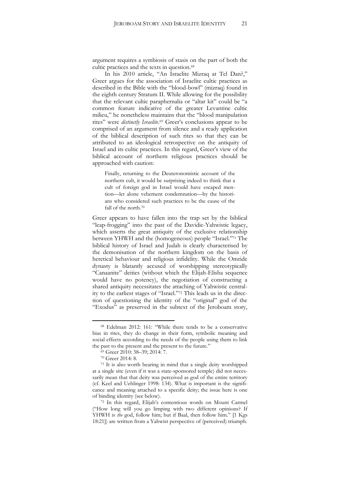argument requires a symbiosis of stasis on the part of both the cultic practices and the texts in question.<sup>68</sup>

In his 2010 article, "An Israelite Mizraq at Tel Dan?," Greer argues for the association of Israelite cultic practices as described in the Bible with the "blood-bowl" (mizraq) found in the eighth century Stratum II. While allowing for the possibility that the relevant cultic paraphernalia or "altar kit" could be "a common feature indicative of the greater Levantine cultic milieu," he nonetheless maintains that the "blood manipulation rites" were *distinctly Israelite*. <sup>69</sup> Greer's conclusions appear to be comprised of an argument from silence and a ready application of the biblical description of such rites so that they can be attributed to an ideological retrospective on the antiquity of Israel and its cultic practices. In this regard, Greer's view of the biblical account of northern religious practices should be approached with caution:

Finally, returning to the Deuteronomistic account of the northern cult, it would be surprising indeed to think that a cult of foreign god in Israel would have escaped mention—let alone vehement condemnation—by the historians who considered such practices to be the cause of the fall of the north.<sup>70</sup>

Greer appears to have fallen into the trap set by the biblical "leap-frogging" into the past of the Davidic-Yahwistic legacy, which asserts the great antiquity of the exclusive relationship between YHWH and the (homogeneous) people "Israel."<sup>71</sup> The biblical history of Israel and Judah is clearly characterised by the demonisation of the northern kingdom on the basis of heretical behaviour and religious infidelity. While the Omride dynasty is blatantly accused of worshipping stereotypically "Canaanite" deities (without which the Elijah-Elisha sequence would have no potency), the negotiation of constructing a shared antiquity necessitates the attaching of Yahwistic centrality to the earliest stages of "Israel."<sup>72</sup> This leads us in the direction of questioning the identity of the "original" god of the "Exodus" as preserved in the subtext of the Jeroboam story,

 $\overline{a}$ 

<sup>68</sup> Edelman 2012: 161: "While there tends to be a conservative bias in rites, they do change in their form, symbolic meaning and social effects according to the needs of the people using them to link the past to the present and the present to the future."

<sup>69</sup> Greer 2010: 38–39; 2014: 7.

<sup>70</sup> Greer 2014: 8.

<sup>71</sup> It is also worth bearing in mind that a single deity worshipped at a single site (even if it was a state-sponsored temple) did not necessarily mean that that deity was perceived as god of the entire territory (cf. Keel and Uehlinger 1998: 134). What is important is the significance and meaning attached to a specific deity; the issue here is one of binding identity (see below).

<sup>72</sup> In this regard, Elijah's contentious words on Mount Carmel ("How long will you go limping with two different opinions? If YHWH is *the* god, follow him; but if Baal, then follow him." [1 Kgs 18:21]) are written from a Yahwist perspective of (perceived) triumph.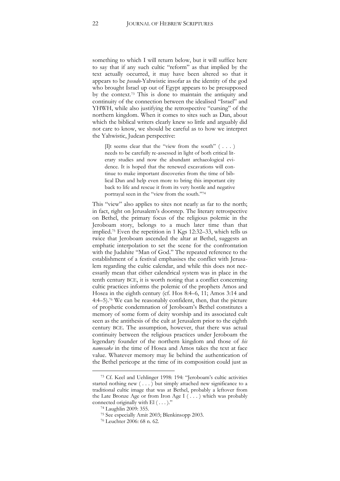something to which I will return below, but it will suffice here to say that if any such cultic "reform" as that implied by the text actually occurred, it may have been altered so that it appears to be *pseudo-*Yahwistic insofar as the identity of the god who brought Israel up out of Egypt appears to be presupposed by the context.<sup>73</sup> This is done to maintain the antiquity and continuity of the connection between the idealised "Israel" and YHWH, while also justifying the retrospective "cursing" of the northern kingdom. When it comes to sites such as Dan, about which the biblical writers clearly knew so little and arguably did not care to know, we should be careful as to how we interpret the Yahwistic, Judean perspective:

[I]t seems clear that the "view from the south"  $( \ldots )$ needs to be carefully re-assessed in light of both critical literary studies and now the abundant archaeological evidence. It is hoped that the renewed excavations will continue to make important discoveries from the time of biblical Dan and help even more to bring this important city back to life and rescue it from its very hostile and negative portrayal seen in the "view from the south."<sup>74</sup>

This "view" also applies to sites not nearly as far to the north; in fact, right on Jerusalem's doorstep. The literary retrospective on Bethel, the primary focus of the religious polemic in the Jeroboam story, belongs to a much later time than that implied.<sup>75</sup> Even the repetition in 1 Kgs 12:32–33, which tells us twice that Jeroboam ascended the altar at Bethel, suggests an emphatic interpolation to set the scene for the confrontation with the Judahite "Man of God." The repeated reference to the establishment of a festival emphasises the conflict with Jerusalem regarding the cultic calendar, and while this does not necessarily mean that either calendrical system was in place in the tenth century BCE, it is worth noting that a conflict concerning cultic practices informs the polemic of the prophets Amos and Hosea in the eighth century (cf. Hos 8:4–6, 11; Amos 3:14 and 4:4–5).<sup>76</sup> We can be reasonably confident, then, that the picture of prophetic condemnation of Jeroboam's Bethel constitutes a memory of some form of deity worship and its associated cult seen as the antithesis of the cult at Jerusalem prior to the eighth century BCE. The assumption, however, that there was actual continuity between the religious practices under Jeroboam the legendary founder of the northern kingdom and those of *his namesake* in the time of Hosea and Amos takes the text at face value. Whatever memory may lie behind the authentication of the Bethel pericope at the time of its composition could just as

<sup>73</sup> Cf. Keel and Uehlinger 1998: 194: "Jeroboam's cultic activities started nothing new ( . . . ) but simply attached new significance to a traditional cultic image that was at Bethel, probably a leftover from the Late Bronze Age or from Iron Age I ( . . . ) which was probably connected originally with El ( . . . )."

<sup>74</sup> Laughlin 2009: 355.

<sup>75</sup> See especially Amit 2003; Blenkinsopp 2003.

<sup>76</sup> Leuchter 2006: 68 n. 62.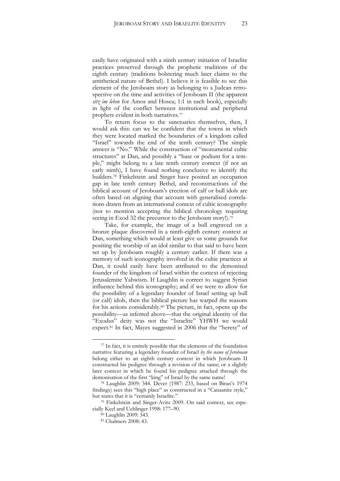easily have originated with a ninth century initiation of Israelite practices preserved through the prophetic traditions of the eighth century (traditions bolstering much later claims to the antithetical nature of Bethel). I believe it is feasible to see this element of the Jeroboam story as belonging to a Judean retrospective on the time and activities of Jeroboam II (the apparent *sitz im leben* for Amos and Hosea; 1:1 in each book), especially in light of the conflict between institutional and peripheral prophets evident in both narratives.<sup>77</sup>

To return focus to the sanctuaries themselves, then, I would ask this: can we be confident that the towns in which they were located marked the boundaries of a kingdom called "Israel" towards the end of the tenth century? The simple answer is "No." While the construction of "monumental cultic structures" at Dan, and possibly a "base or podium for a temple," might belong to a late tenth century context (if not an early ninth), I have found nothing conclusive to identify the builders.<sup>78</sup> Finkelstein and Singer have posited an occupation gap in late tenth century Bethel, and reconstructions of the biblical account of Jeroboam's erection of calf or bull idols are often based on aligning that account with generalised correlations drawn from an international context of cultic iconography (not to mention accepting the biblical chronology requiring seeing in Exod 32 the precursor to the Jeroboam story!).<sup>79</sup>

Take, for example, the image of a bull engraved on a bronze plaque discovered in a ninth-eighth century context at Dan, something which would at least give us some grounds for positing the worship of an idol similar to that said to have been set up by Jeroboam roughly a century earlier. If there was a memory of such iconography involved in the cultic practices at Dan, it could easily have been attributed to the demonised founder of the kingdom of Israel within the context of rejecting Jerusalemite Yahwism. If Laughlin is correct to suggest Syrian influence behind this iconography; and if we were to allow for the possibility of a legendary founder of Israel setting up bull (or calf) idols, then the biblical picture has warped the reasons for his actions considerably.<sup>80</sup> The picture, in fact, opens up the possibility—as inferred above—that the original identity of the "Exodus" deity was not the "Israelite" YHWH we would expect.<sup>81</sup> In fact, Mayes suggested in 2006 that the "heresy" of

 $\overline{a}$ 

<sup>77</sup> In fact, it is entirely possible that the elements of the foundation narrative featuring a legendary founder of Israel *by the name of Jeroboam* belong either to an eighth century context in which Jeroboam II constructed his pedigree through a revision of the same; or a slightly later context in which he found his pedigree attacked through the demonisation of the first "king" of Israel by the same name!

<sup>78</sup> Laughlin 2009: 344. Dever (1987: 233, based on Biran's 1974 findings) sees this "high place" as constructed in a "Canaanite style," but states that it is "certainly Israelite."

<sup>79</sup> Finkelstein and Singer-Avitz 2009. On said context, see especially Keel and Uehlinger 1998: 177–90.

<sup>80</sup> Laughlin 2009: 343.

<sup>81</sup> Chalmers 2008: 43.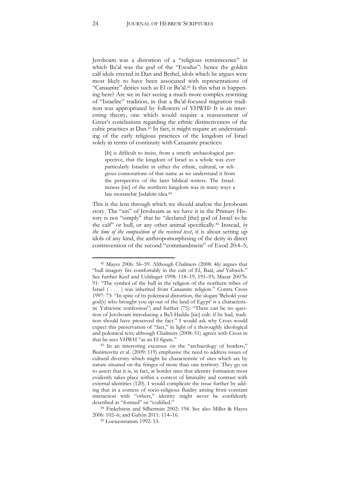Jeroboam was a distortion of a "religious reminiscence" in which Ba'al was the god of the "Exodus": hence the golden calf idols erected in Dan and Bethel, idols which he argues were most likely to have been associated with representations of "Canaanite" deities such as El or Ba'al.<sup>82</sup> Is this what is happening here? Are we in fact seeing a much more complex rewriting of "Israelite" tradition, in that a Ba'al-focused migration tradition was appropriated by followers of YHWH? It is an interesting theory, one which would require a reassessment of Greer's conclusions regarding the ethnic distinctiveness of the cultic practices at Dan.<sup>83</sup> In fact, it might require an understanding of the early religious practices of the kingdom of Israel solely in terms of continuity with Canaanite practices:

[It] is difficult to insist, from a strictly archaeological perspective, that the kingdom of Israel as a whole was ever particularly Israelite in either the ethnic, cultural, or religious connotations of that name as we understand it from the perspective of the later biblical writers. The Israeliteness [sic] of the northern kingdom was in many ways a late monarchic Judahite idea.<sup>84</sup>

This is the lens through which we should analyse the Jeroboam story. The "sin" of Jeroboam as we have it in the Primary History is not "simply" that he "declared [the] god of Israel to be the calf" or bull, or any other animal specifically.<sup>85</sup> Instead, *by the time of the composition of the received text*, it is about setting up idols of any kind, the anthropomorphising of the deity in direct contravention of the second "commandment" of Exod 20:4–5;

<sup>82</sup> Mayes 2006: 56–59. Although Chalmers (2008: 46) argues that "bull imagery fits comfortably in the cult of El, Baal, *and* Yahweh." See further Keel and Uehlinger 1998: 118–19, 191–95; Mazar 2007b: 91: "The symbol of the bull in the religion of the northern tribes of Israel ( . . . ) was inherited from Canaanite religion." Contra Cross 1997: 73: "In spite of its polemical distortion, the slogan 'Behold your god(s) who brought you up out of the land of Egypt' is a characteristic Yahwistic confession"; and further (75): "There can be no question of Jeroboam introducing a Ba'l-Haddu [sic] cult: if he had, tradition should have preserved the fact." I would ask why Cross would expect this preservation of "fact," in light of a thoroughly ideological and polemical text; although Chalmers (2008: 51) agrees with Cross in that he sees YHWH "as an El figure."

<sup>83</sup> In an interesting excursus on the "archaeology of borders," Bunimovitz et al. (2009: 119) emphasise the need to address issues of cultural diversity which might be characteristic of sites which are by nature situated on the fringes of more than one territory. They go on to assert that it is, in fact, at border sites that identity formation most evidently takes place within a context of liminality and contrast with external identities (120). I would complicate the issue further by adding that in a context of socio-religious fluidity arising from constant interaction with "others," identity might never be confidently described as "formed" or "codified."

<sup>84</sup> Finkelstein and Silberman 2002: 194. See also Miller & Hayes 2006: 102–6; and Galvin 2011: 114–16.

<sup>85</sup> Loewenstamm 1992: 53.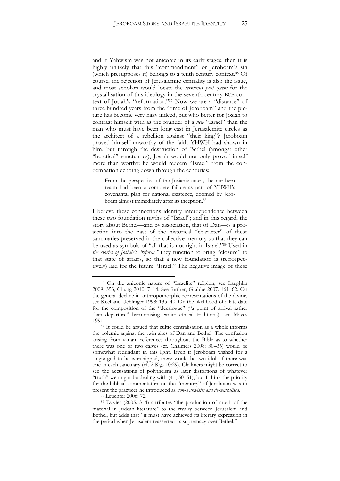and if Yahwism was not aniconic in its early stages, then it is highly unlikely that this "commandment" or Jeroboam's sin (which presupposes it) belongs to a tenth century context.<sup>86</sup> Of course, the rejection of Jerusalemite centrality is also the issue, and most scholars would locate the *terminus post quem* for the crystallisation of this ideology in the seventh century BCE context of Josiah's "reformation."<sup>87</sup> Now we are a "distance" of three hundred years from the "time of Jeroboam" and the picture has become very hazy indeed, but who better for Josiah to contrast himself with as the founder of a *new* "Israel" than the man who must have been long cast in Jerusalemite circles as the architect of a rebellion against "their king"? Jeroboam proved himself unworthy of the faith YHWH had shown in him, but through the destruction of Bethel (amongst other "heretical" sanctuaries), Josiah would not only prove himself more than worthy; he would redeem "Israel" from the condemnation echoing down through the centuries:

From the perspective of the Josianic court, the northern realm had been a complete failure as part of YHWH's covenantal plan for national existence, doomed by Jeroboam almost immediately after its inception.<sup>88</sup>

I believe these connections identify interdependence between these two foundation myths of "Israel"; and in this regard, the story about Bethel—and by association, that of Dan—is a projection into the past of the historical "character" of these sanctuaries preserved in the collective memory so that they can be used as symbols of "all that is not right in Israel."<sup>89</sup> Used in *the stories of Josiah's "reform,"* they function to bring "closure" to that state of affairs, so that a new foundation is (retrospectively) laid for the future "Israel." The negative image of these

<sup>88</sup> Leuchter 2006: 72.

<sup>86</sup> On the aniconic nature of "Israelite" religion, see Laughlin 2009: 353; Chung 2010: 7–14. See further, Grabbe 2007: 161–62. On the general decline in anthropomorphic representations of the divine, see Keel and Uehlinger 1998: 135–40. On the likelihood of a late date for the composition of the "decalogue" ("a point of arrival rather than departure" harmonising earlier ethical traditions), see Mayes 1991.

<sup>87</sup> It could be argued that cultic centralisation as a whole informs the polemic against the twin sites of Dan and Bethel. The confusion arising from variant references throughout the Bible as to whether there was one or two calves (cf. Chalmers 2008: 30–36) would be somewhat redundant in this light. Even if Jeroboam wished for a single god to be worshipped, there would be two idols if there was one in each sanctuary (cf. 2 Kgs 10:29). Chalmers might be correct to see the accusations of polytheism as later distortions of whatever "truth" we might be dealing with (41, 50–51), but I think the priority for the biblical commentators on the "memory" of Jeroboam was to present the practices he introduced as *non-Yahwistic and de-centralised*.

<sup>89</sup> Davies (2005: 3–4) attributes "the production of much of the material in Judean literature" to the rivalry between Jerusalem and Bethel, but adds that "it must have achieved its literary expression in the period when Jerusalem reasserted its supremacy over Bethel."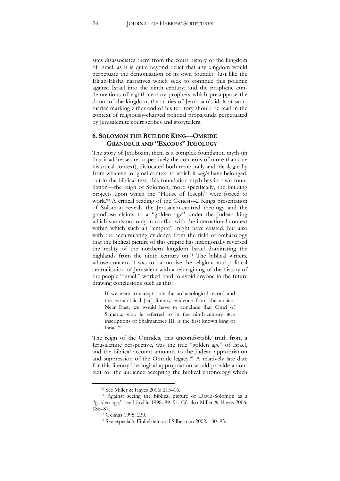sites disassociates them from the court history of the kingdom of Israel, as it is quite beyond belief that any kingdom would perpetuate the demonisation of its own founder. Just like the Elijah-Elisha narratives which seek to continue this polemic against Israel into the ninth century; and the prophetic condemnations of eighth century prophets which presuppose the doom of the kingdom, the stories of Jeroboam's idols at sanctuaries marking either end of his territory should be read in the context of religiously-charged political propaganda perpetuated by Jerusalemite court scribes and storytellers.

#### **6. SOLOMON THE BUILDER KING—OMRIDE GRANDEUR AND "EXODUS" IDEOLOGY**

The story of Jeroboam, then, is a complex foundation myth (in that it addresses retrospectively the concerns of more than one historical context), dislocated both temporally and ideologically from whatever original context to which it *might* have belonged, but in the biblical text, this foundation myth has its own foundation—the reign of Solomon; more specifically, the building projects upon which the "House of Joseph" were forced to work.<sup>90</sup> A critical reading of the Genesis–2 Kings presentation of Solomon reveals the Jerusalem-centred theology and the grandiose claims to a "golden age" under the Judean king which stands not only in conflict with the international context within which such an "empire" might have existed, but also with the accumulating evidence from the field of archaeology that the biblical picture of this empire has intentionally reversed the reality of the northern kingdom Israel dominating the highlands from the ninth century on.<sup>91</sup> The biblical writers, whose concern it was to harmonise the religious and political centralisation of Jerusalem with a reimagining of the history of the people "Israel," worked hard to avoid anyone in the future drawing conclusions such as this:

If we were to accept only the archaeological record and the extrabiblical [sic] literary evidence from the ancient Near East, we would have to conclude that Omri of Samaria, who is referred to in the ninth-century BCE inscriptions of Shalmaneser III, is the first known king of Israel.<sup>92</sup>

The reign of the Omrides, this uncomfortable truth from a Jerusalemite perspective, was the true "golden age" of Israel, and the biblical account amounts to the Judean appropriation and suppression of the Omride legacy.<sup>93</sup> A relatively late date for this literary-ideological appropriation would provide a context for the audience accepting the biblical chronology which

<sup>90</sup> See Miller & Hayes 2006: 213–16.

<sup>&</sup>lt;sup>91</sup> Against seeing the biblical picture of David-Solomon as a "golden age," see Linville 1998: 89–91. Cf. also Miller & Hayes 2006: 186–87.

<sup>92</sup> Gelinas 1995: 230.

<sup>93</sup> See especially Finkelstein and Silberman 2002: 180–95.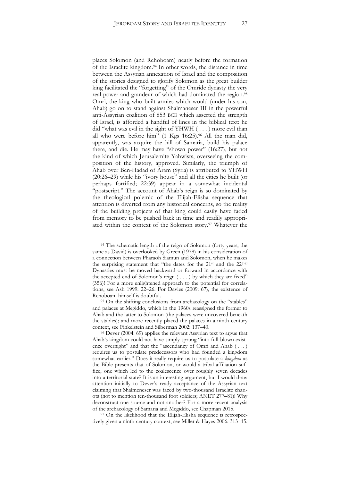places Solomon (and Rehoboam) neatly before the formation of the Israelite kingdom.<sup>94</sup> In other words, the distance in time between the Assyrian annexation of Israel and the composition of the stories designed to glorify Solomon as the great builder king facilitated the "forgetting" of the Omride dynasty the very real power and grandeur of which had dominated the region.<sup>95</sup> Omri, the king who built armies which would (under his son, Ahab) go on to stand against Shalmaneser III in the powerful anti-Assyrian coalition of 853 BCE which asserted the strength of Israel, is afforded a handful of lines in the biblical text: he did "what was evil in the sight of YHWH ( . . . ) more evil than all who were before him" (1 Kgs 16:25).<sup>96</sup> All the man did, apparently, was acquire the hill of Samaria, build his palace there, and die. He may have "shown power" (16:27), but not the kind of which Jerusalemite Yahwists, overseeing the composition of the history, approved. Similarly, the triumph of Ahab over Ben-Hadad of Aram (Syria) is attributed to YHWH (20:26–29) while his "ivory house" and all the cities he built (or perhaps fortified; 22:39) appear in a somewhat incidental "postscript." The account of Ahab's reign is so dominated by the theological polemic of the Elijah-Elisha sequence that attention is diverted from any historical concerns, so the reality of the building projects of that king could easily have faded from memory to be pushed back in time and readily appropriated within the context of the Solomon story.<sup>97</sup> Whatever the

 $\overline{\phantom{a}}$ 

<sup>97</sup> On the likelihood that the Elijah-Elisha sequence is retrospectively given a ninth-century context, see Miller & Hayes 2006: 313–15.

<sup>&</sup>lt;sup>94</sup> The schematic length of the reign of Solomon (forty years; the same as David) is overlooked by Green (1978) in his consideration of a connection between Pharaoh Siamun and Solomon, when he makes the surprising statement that "the dates for the 21<sup>st</sup> and the 22<sup>[n]d</sup> Dynasties must be moved backward or forward in accordance with the accepted end of Solomon's reign ( . . . ) by which they are fixed" (356)! For a more enlightened approach to the potential for correlations, see Ash 1999: 22–26. For Davies (2009: 67), the existence of Rehoboam himself is doubtful.

<sup>&</sup>lt;sup>95</sup> On the shifting conclusions from archaeology on the "stables" and palaces at Megiddo, which in the 1960s reassigned the former to Ahab and the latter to Solomon (the palaces were uncovered beneath the stables); and more recently placed the palaces in a ninth century context, see Finkelstein and Silberman 2002: 137–40.

<sup>96</sup> Dever (2004: 69) applies the relevant Assyrian text to argue that Ahab's kingdom could not have simply sprung "into full-blown existence overnight" and that the "ascendancy of Omri and Ahab  $(\dots)$ requires us to postulate predecessors who had founded a kingdom somewhat earlier." Does it really require us to postulate a *kingdom* as the Bible presents that of Solomon, or would a tribal affiliation suffice, one which led to the coalescence over roughly seven decades into a territorial state? It is an interesting argument, but I would draw attention initially to Dever's ready acceptance of the Assyrian text claiming that Shalmeneser was faced by two-thousand Israelite chariots (not to mention ten-thousand foot soldiers; ANET 277–81)! Why deconstruct one source and not another? For a more recent analysis of the archaeology of Samaria and Megiddo, see Chapman 2015.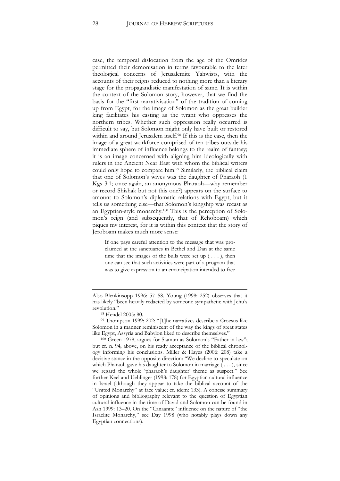case, the temporal dislocation from the age of the Omrides permitted their demonisation in terms favourable to the later theological concerns of Jerusalemite Yahwists, with the accounts of their reigns reduced to nothing more than a literary stage for the propagandistic manifestation of same. It is within the context of the Solomon story, however, that we find the basis for the "first narrativisation" of the tradition of coming up from Egypt, for the image of Solomon as the great builder king facilitates his casting as the tyrant who oppresses the northern tribes. Whether such oppression really occurred is difficult to say, but Solomon might only have built or restored within and around Jerusalem itself.<sup>98</sup> If this is the case, then the image of a great workforce comprised of ten tribes outside his immediate sphere of influence belongs to the realm of fantasy; it is an image concerned with aligning him ideologically with rulers in the Ancient Near East with whom the biblical writers could only hope to compare him.<sup>99</sup> Similarly, the biblical claim that one of Solomon's wives was the daughter of Pharaoh (1 Kgs 3:1; once again, an anonymous Pharaoh—why remember or record Shishak but not this one?) appears on the surface to amount to Solomon's diplomatic relations with Egypt, but it tells us something else—that Solomon's kingship was recast as an Egyptian-style monarchy.<sup>100</sup> This is the perception of Solomon's reign (and subsequently, that of Rehoboam) which piques my interest, for it is within this context that the story of Jeroboam makes much more sense:

If one pays careful attention to the message that was proclaimed at the sanctuaries in Bethel and Dan at the same time that the images of the bulls were set up  $(\ldots)$ , then one can see that such activities were part of a program that was to give expression to an emancipation intended to free

Also Blenkinsopp 1996: 57–58. Young (1998: 252) observes that it has likely "been heavily redacted by someone sympathetic with Jehu's revolution."

<sup>98</sup> Hendel 2005: 80.

<sup>99</sup> Thompson 1999: 202: "[T]he narratives describe a Croesus-like Solomon in a manner reminiscent of the way the kings of great states like Egypt, Assyria and Babylon liked to describe themselves.'

<sup>100</sup> Green 1978, argues for Siamun as Solomon's "Father-in-law"; but cf. n. 94, above, on his ready acceptance of the biblical chronology informing his conclusions. Miller & Hayes (2006: 208) take a decisive stance in the opposite direction: "We decline to speculate on which Pharaoh gave his daughter to Solomon in marriage ( . . . ), since we regard the whole 'pharaoh's daughter' theme as suspect." See further Keel and Uehlinger (1998: 178) for Egyptian cultural influence in Israel (although they appear to take the biblical account of the "United Monarchy" at face value; cf. idem: 133). A concise summary of opinions and bibliography relevant to the question of Egyptian cultural influence in the time of David and Solomon can be found in Ash 1999: 13–20. On the "Canaanite" influence on the nature of "the Israelite Monarchy," see Day 1998 (who notably plays down any Egyptian connections).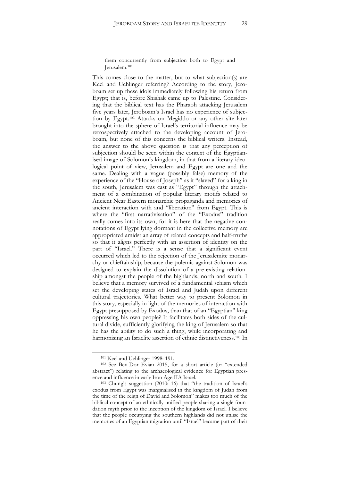them concurrently from subjection both to Egypt and Jerusalem.<sup>101</sup>

This comes close to the matter, but to what subjection(s) are Keel and Uehlinger referring? According to the story, Jeroboam set up these idols immediately following his return from Egypt; that is, before Shishak came up to Palestine. Considering that the biblical text has the Pharaoh attacking Jerusalem five years later, Jeroboam's Israel has no experience of subjection by Egypt.<sup>102</sup> Attacks on Megiddo or any other site later brought into the sphere of Israel's territorial influence may be retrospectively attached to the developing account of Jeroboam, but none of this concerns the biblical writers. Instead, the answer to the above question is that any perception of subjection should be seen within the context of the Egyptianised image of Solomon's kingdom, in that from a literary-ideological point of view, Jerusalem and Egypt are one and the same. Dealing with a vague (possibly false) memory of the experience of the "House of Joseph" as it "slaved" for a king in the south, Jerusalem was cast as "Egypt" through the attachment of a combination of popular literary motifs related to Ancient Near Eastern monarchic propaganda and memories of ancient interaction with and "liberation" from Egypt. This is where the "first narrativisation" of the "Exodus" tradition really comes into its own, for it is here that the negative connotations of Egypt lying dormant in the collective memory are appropriated amidst an array of related concepts and half-truths so that it aligns perfectly with an assertion of identity on the part of "Israel." There is a sense that a significant event occurred which led to the rejection of the Jerusalemite monarchy or chieftainship, because the polemic against Solomon was designed to explain the dissolution of a pre-existing relationship amongst the people of the highlands, north and south. I believe that a memory survived of a fundamental schism which set the developing states of Israel and Judah upon different cultural trajectories. What better way to present Solomon in this story, especially in light of the memories of interaction with Egypt presupposed by Exodus, than that of an "Egyptian" king oppressing his own people? It facilitates both sides of the cultural divide, sufficiently glorifying the king of Jerusalem so that he has the ability to do such a thing, while incorporating and harmonising an Israelite assertion of ethnic distinctiveness.<sup>103</sup> In

<sup>101</sup> Keel and Uehlinger 1998: 191.

<sup>102</sup> See Ben-Dor Evian 2015, for a short article (or "extended abstract") relating to the archaeological evidence for Egyptian presence and influence in early Iron Age IIA Israel.

<sup>103</sup> Chung's suggestion (2010: 16) that "the tradition of Israel's exodus from Egypt was marginalised in the kingdom of Judah from the time of the reign of David and Solomon" makes too much of the biblical concept of an ethnically unified people sharing a single foundation myth prior to the inception of the kingdom of Israel. I believe that the people occupying the southern highlands did not utilise the memories of an Egyptian migration until "Israel" became part of their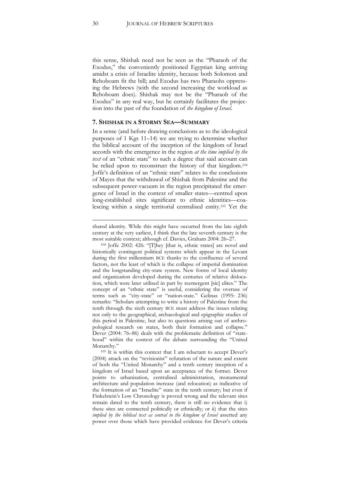this sense, Shishak need not be seen as the "Pharaoh of the Exodus," the conveniently positioned Egyptian king arriving amidst a crisis of Israelite identity, because both Solomon and Rehoboam fit the bill; and Exodus has two Pharaohs oppressing the Hebrews (with the second increasing the workload as Rehoboam does). Shishak may not be the "Pharaoh of the Exodus" in any real way, but he certainly facilitates the projection into the past of the foundation of *the kingdom of Israel*.

#### **7. SHISHAK IN A STORMY SEA—SUMMARY**

In a sense (and before drawing conclusions as to the ideological purposes of 1 Kgs 11–14) we are trying to determine whether the biblical account of the inception of the kingdom of Israel accords with the emergence in the region *at the time implied by the* text of an "ethnic state" to such a degree that said account can be relied upon to reconstruct the history of that kingdom. 104 Joffe's definition of an "ethnic state" relates to the conclusions of Mayes that the withdrawal of Shishak from Palestine and the subsequent power-vacuum in the region precipitated the emergence of Israel in the context of smaller states—centred upon long-established sites significant to ethnic identities—coalescing within a single territorial centralised entity.<sup>105</sup> Yet the

shared identity. While this might have occurred from the late eighth century at the very earliest, I think that the late seventh century is the most suitable context; although cf. Davies, Graham 2004: 26–27.

<sup>104</sup> Joffe 2002: 426: "[T]hey [that is, ethnic states] are novel and historically contingent political systems which appear in the Levant during the first millennium BCE thanks to the confluence of several factors, not the least of which is the collapse of imperial domination and the longstanding city-state system. New forms of local identity and organization developed during the centuries of relative dislocation, which were later utilised in part by reemergent [sic] elites." The concept of an "ethnic state" is useful, considering the overuse of terms such as "city-state" or "nation-state." Gelinas (1995: 236) remarks: "Scholars attempting to write a history of Palestine from the tenth through the sixth century BCE must address the issues relating not only to the geographical, archaeological and epigraphic studies of this period in Palestine, but also to questions arising out of anthropological research on states, both their formation and collapse." Dever (2004: 76–86) deals with the problematic definition of "statehood" within the context of the debate surrounding the "United Monarchy."

<sup>&</sup>lt;sup>105</sup> It is within this context that I am reluctant to accept Dever's (2004) attack on the "revisionist" refutation of the nature and extent of both the "United Monarchy" and a tenth century inception of a kingdom of Israel based upon an acceptance of the former. Dever points to urbanisation, centralised administration, monumental architecture and population increase (and relocation) as indicative of the formation of an "Israelite" state in the tenth century; but even if Finkelstein's Low Chronology is proved wrong and the relevant sites remain dated to the tenth century, there is still no evidence that i) these sites are connected politically or ethnically; or ii) that the sites *implied by the biblical text as central to the kingdom of Israel* asserted any power over those which have provided evidence for Dever's criteria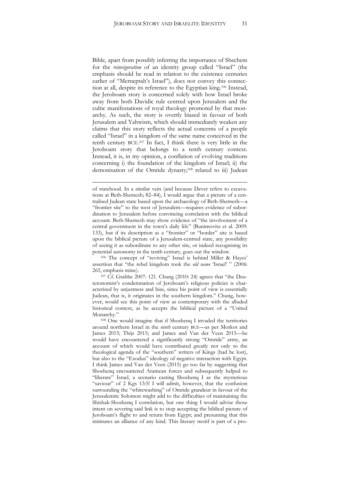Bible, apart from possibly inferring the importance of Shechem for the *reinvigoration* of an identity group called "Israel" (the emphasis should be read in relation to the existence centuries earlier of "Merneptah's Israel"), does not convey this connection at all, despite its reference to the Egyptian king.<sup>106</sup> Instead, the Jeroboam story is concerned solely with how Israel broke away from both Davidic rule centred upon Jerusalem and the cultic manifestations of royal theology promoted by that monarchy. As such, the story is overtly biased in favour of both Jerusalem and Yahwism, which should immediately weaken any claims that this story reflects the actual concerns of a people called "Israel" in a kingdom of the same name conceived in the tenth century BCE. <sup>107</sup> In fact, I think there is very little in the Jeroboam story that belongs to a tenth century context. Instead, it is, in my opinion, a conflation of evolving traditions concerning i) the foundation of the kingdom of Israel; ii) the demonisation of the Omride dynasty;<sup>108</sup> related to iii) Judean

1

<sup>106</sup> The concept of "reviving" Israel is behind Miller & Hayes' assertion that "the rebel kingdom took the *old name* 'Israel' " (2006: 265, emphasis mine).

<sup>107</sup> Cf. Grabbe 2007: 121. Chung (2010: 24) agrees that "the Deuteronomist's condemnation of Jeroboam's religious policies is characterised by unjustness and bias, since his point of view is essentially Judean, that is, it originates in the southern kingdom." Chung, however, would see this point of view as contemporary with the alluded historical context, as he accepts the biblical picture of a "United Monarchy."

<sup>108</sup> One would imagine that if Shoshenq I invaded the territories around northern Israel in the *ninth* century BCE—as per Morkot and James 2015; Thijs 2015; and James and Van der Veen 2015—he would have encountered a significantly strong "Omride" army, an account of which would have contributed greatly not only to the theological agenda of the "southern" writers of Kings (had he lost), but also to the "Exodus" ideology of negative interaction with Egypt. I think James and Van der Veen (2015) go too far by suggesting that Shoshenq encountered Aramean forces and subsequently helped to "liberate" Israel, a scenario casting Shoshenq I as the mysterious "saviour" of 2 Kgs 13:5! I will admit, however, that the confusion surrounding the "whitewashing" of Omride grandeur in favour of the Jerusalemite Solomon might add to the difficulties of maintaining the Shishak-Shoshenq I correlation, but one thing I would advise those intent on severing said link is to stop accepting the biblical picture of Jeroboam's flight to and return from Egypt; and presuming that this intimates an alliance of any kind. This literary motif is part of a pro-

of statehood. In a similar vein (and because Dever refers to excavations at Beth-Shemesh; 82–84), I would argue that a picture of a centralised Judean state based upon the archaeology of Beth-Shemesh—a "frontier site" to the west of Jerusalem—requires evidence of subordination to Jerusalem before convincing correlation with the biblical account. Beth-Shemesh may show evidence of "the involvement of a central government in the town's daily life" (Bunimovitz et al. 2009: 133), but if its description as a "frontier" or "border" site is based upon the biblical picture of a Jerusalem-centred state, any possibility of seeing it as subordinate to any other site, or indeed recognising its potential autonomy in the tenth century, goes out the window.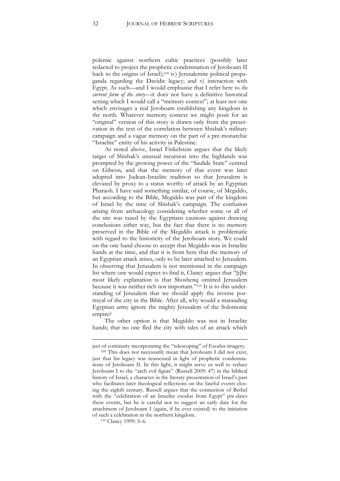polemic against northern cultic practices (possibly later redacted to project the prophetic condemnation of Jeroboam II back to the origins of Israel);<sup>109</sup> iv) Jerusalemite political propaganda regarding the Davidic legacy; and v) interaction with Egypt. As such—and I would emphasise that I refer here to *the current form of the story—*it does not have a definitive historical setting which I would call a "memory context"; at least not one which envisages a real Jeroboam establishing any kingdom in the north. Whatever memory context we might posit for an "original" version of this story is drawn only from the preservation in the text of the correlation between Shishak's military campaign and a vague memory on the part of a pre-monarchic "Israelite" entity of his activity in Palestine.

As noted above, Israel Finkelstein argues that the likely target of Shishak's unusual incursion into the highlands was prompted by the growing power of the "Saulide State" centred on Gibeon, and that the memory of that event was later adopted into Judean-Israelite tradition so that Jerusalem is elevated by proxy to a status worthy of attack by an Egyptian Pharaoh. I have said something similar, of course, of Megiddo, but according to the Bible, Megiddo was part of the kingdom of Israel by the time of Shishak's campaign. The confusion arising from archaeology considering whether some or all of the site was razed by the Egyptians cautions against drawing conclusions either way, but the fact that there is no memory preserved in the Bible of the Megiddo attack is problematic with regard to the historicity of the Jeroboam story. We could on the one hand choose to accept that Megiddo was in Israelite hands at the time, and that it is from here that the memory of an Egyptian attack arises, only to be later attached to Jerusalem. In observing that Jerusalem is not mentioned in the campaign list where one would expect to find it, Clancy argues that "[t]he most likely explanation is that Shoshenq omitted Jerusalem because it was neither rich nor important."<sup>110</sup> It is to this understanding of Jerusalem that we should apply the inverse portrayal of the city in the Bible. After all, why would a marauding Egyptian army ignore the mighty Jerusalem of the Solomonic empire?

The other option is that Megiddo was not in Israelite hands; that no one fled the city with tales of an attack which

 $\overline{a}$ 

ject of continuity incorporating the "telescoping" of Exodus imagery.

<sup>109</sup> This does not necessarily mean that Jeroboam I did not exist, just that his legacy was reassessed in light of prophetic condemnations of Jeroboam II. In this light, it might serve us well to reduce Jeroboam I to the "arch evil figure" (Russell 2009: 47) in the biblical history of Israel, a character in the literary presentation of Israel's past who facilitates later theological reflections on the fateful events closing the eighth century. Russell argues that the connection of Bethel with the "celebration of an Israelite exodus from Egypt" pre-dates these events, but he is careful not to suggest an early date for the attachment of Jeroboam I (again, if he ever existed) to the initiation of such a celebration in the northern kingdom.

<sup>110</sup> Clancy 1999: 5–6.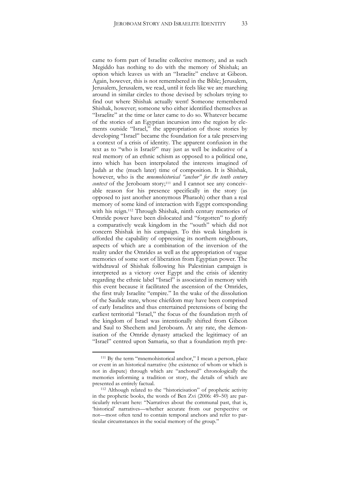came to form part of Israelite collective memory, and as such Megiddo has nothing to do with the memory of Shishak; an option which leaves us with an "Israelite" enclave at Gibeon. Again, however, this is not remembered in the Bible; Jerusalem, Jerusalem, Jerusalem, we read, until it feels like we are marching around in similar circles to those devised by scholars trying to find out where Shishak actually went! Someone remembered Shishak, however; someone who either identified themselves as "Israelite" at the time or later came to do so. Whatever became of the stories of an Egyptian incursion into the region by elements outside "Israel," the appropriation of those stories by developing "Israel" became the foundation for a tale preserving a context of a crisis of identity. The apparent confusion in the text as to "who is Israel?" may just as well be indicative of a real memory of an ethnic schism as opposed to a political one, into which has been interpolated the interests imagined of Judah at the (much later) time of composition. It is Shishak, however, who is the *mnemohistorical "anchor" for the tenth century context* of the Jeroboam story;<sup>111</sup> and I cannot see any conceivable reason for his presence specifically in the story (as opposed to just another anonymous Pharaoh) other than a real memory of some kind of interaction with Egypt corresponding with his reign.<sup>112</sup> Through Shishak, ninth century memories of Omride power have been dislocated and "forgotten" to glorify a comparatively weak kingdom in the "south" which did not concern Shishak in his campaign. To this weak kingdom is afforded the capability of oppressing its northern neighbours, aspects of which are a combination of the inversion of the reality under the Omrides as well as the appropriation of vague memories of some sort of liberation from Egyptian power. The withdrawal of Shishak following his Palestinian campaign is interpreted as a victory over Egypt and the crisis of identity regarding the ethnic label "Israel" is associated in memory with this event because it facilitated the ascension of the Omrides, the first truly Israelite "empire." In the wake of the dissolution of the Saulide state, whose chiefdom may have been comprised of early Israelites and thus entertained pretensions of being the earliest territorial "Israel," the focus of the foundation myth of the kingdom of Israel was intentionally shifted from Gibeon and Saul to Shechem and Jeroboam. At any rate, the demonisation of the Omride dynasty attacked the legitimacy of an "Israel" centred upon Samaria, so that a foundation myth pre-

<sup>111</sup> By the term "mnemohistorical anchor," I mean a person, place or event in an historical narrative (the existence of whom or which is not in dispute) through which are "anchored" chronologically the memories informing a tradition or story, the details of which are presented as entirely factual.

<sup>112</sup> Although related to the "historicisation" of prophetic activity in the prophetic books, the words of Ben Zvi (2006: 49–50) are particularly relevant here: "Narratives about the communal past, that is, 'historical' narratives—whether accurate from our perspective or not—most often tend to contain temporal anchors and refer to particular circumstances in the social memory of the group."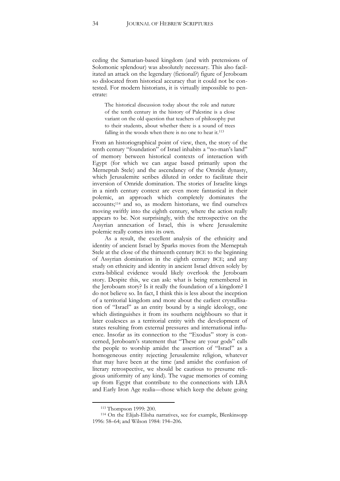ceding the Samarian-based kingdom (and with pretensions of Solomonic splendour) was absolutely necessary. This also facilitated an attack on the legendary (fictional?) figure of Jeroboam so dislocated from historical accuracy that it could not be contested. For modern historians, it is virtually impossible to penetrate:

The historical discussion today about the role and nature of the tenth century in the history of Palestine is a close variant on the old question that teachers of philosophy put to their students, about whether there is a sound of trees falling in the woods when there is no one to hear it.<sup>113</sup>

From an historiographical point of view, then, the story of the tenth century "foundation" of Israel inhabits a "no-man's land" of memory between historical contexts of interaction with Egypt (for which we can argue based primarily upon the Merneptah Stele) and the ascendancy of the Omride dynasty, which Jerusalemite scribes diluted in order to facilitate their inversion of Omride domination. The stories of Israelite kings in a ninth century context are even more fantastical in their polemic, an approach which completely dominates the accounts;<sup>114</sup> and so, as modern historians, we find ourselves moving swiftly into the eighth century, where the action really appears to be. Not surprisingly, with the retrospective on the Assyrian annexation of Israel, this is where Jerusalemite polemic really comes into its own.

As a result, the excellent analysis of the ethnicity and identity of ancient Israel by Sparks moves from the Merneptah Stele at the close of the thirteenth century BCE to the beginning of Assyrian domination in the eighth century BCE; and any study on ethnicity and identity in ancient Israel driven solely by extra-biblical evidence would likely overlook the Jeroboam story. Despite this, we can ask: what is being remembered in the Jeroboam story? Is it really the foundation of a kingdom? I do not believe so. In fact, I think this is less about the inception of a territorial kingdom and more about the earliest crystallisation of "Israel" as an entity bound by a single ideology, one which distinguishes it from its southern neighbours so that it later coalesces as a territorial entity with the development of states resulting from external pressures and international influence. Insofar as its connection to the "Exodus" story is concerned, Jeroboam's statement that "These are your gods" calls the people to worship amidst the assertion of "Israel" as a homogeneous entity rejecting Jerusalemite religion, whatever that may have been at the time (and amidst the confusion of literary retrospective, we should be cautious to presume religious uniformity of any kind). The vague memories of coming up from Egypt that contribute to the connections with LBA and Early Iron Age realia—those which keep the debate going

<sup>113</sup> Thompson 1999: 200.

<sup>114</sup> On the Elijah-Elisha narratives, see for example, Blenkinsopp 1996: 58–64; and Wilson 1984: 194–206.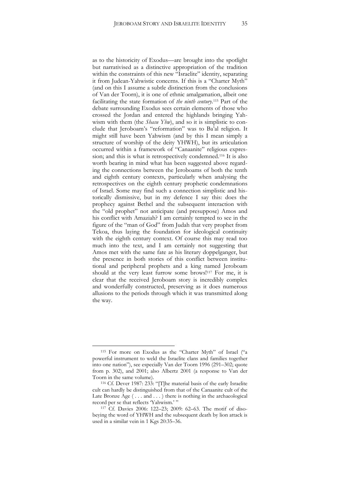as to the historicity of Exodus—are brought into the spotlight but narrativised as a distinctive appropriation of the tradition within the constraints of this new "Israelite" identity, separating it from Judean-Yahwistic concerns. If this is a "Charter Myth" (and on this I assume a subtle distinction from the conclusions of Van der Toorn), it is one of ethnic amalgamation, albeit one facilitating the state formation of *the ninth century*. <sup>115</sup> Part of the debate surrounding Exodus sees certain elements of those who crossed the Jordan and entered the highlands bringing Yahwism with them (the *Shasu Yhw*), and so it is simplistic to conclude that Jeroboam's "reformation" was to Ba'al religion. It might still have been Yahwism (and by this I mean simply a structure of worship of the deity YHWH), but its articulation occurred within a framework of "Canaanite" religious expression; and this is what is retrospectively condemned.<sup>116</sup> It is also worth bearing in mind what has been suggested above regarding the connections between the Jeroboams of both the tenth and eighth century contexts, particularly when analysing the retrospectives on the eighth century prophetic condemnations of Israel. Some may find such a connection simplistic and historically dismissive, but in my defence I say this: does the prophecy against Bethel and the subsequent interaction with the "old prophet" not anticipate (and presuppose) Amos and his conflict with Amaziah? I am certainly tempted to see in the figure of the "man of God" from Judah that very prophet from Tekoa, thus laying the foundation for ideological continuity with the eighth century context. Of course this may read too much into the text, and I am certainly not suggesting that Amos met with the same fate as his literary doppelganger, but the presence in both stories of this conflict between institutional and peripheral prophets and a king named Jeroboam should at the very least furrow some brows!<sup>117</sup> For me, it is clear that the received Jeroboam story is incredibly complex and wonderfully constructed, preserving as it does numerous allusions to the periods through which it was transmitted along the way.

<sup>115</sup> For more on Exodus as the "Charter Myth" of Israel ("a powerful instrument to weld the Israelite clans and families together into one nation"), see especially Van der Toorn 1996 (291–302; quote from p. 302), and 2001; also Albertz 2001 (a response to Van der Toorn in the same volume).

<sup>116</sup> Cf. Dever 1987: 233: "[T]he material basis of the early Israelite cult can hardly be distinguished from that of the Canaanite cult of the Late Bronze Age (... and ...) there is nothing in the archaeological record per se that reflects 'Yahwism.' "

<sup>117</sup> Cf. Davies 2006: 122–23; 2009: 62–63. The motif of disobeying the word of YHWH and the subsequent death by lion attack is used in a similar vein in 1 Kgs 20:35–36.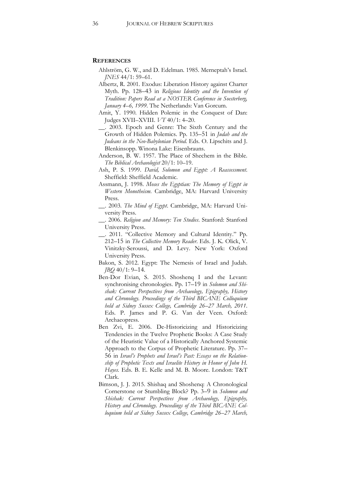#### **REFERENCES**

- Ahlström, G. W., and D. Edelman. 1985. Merneptah's Israel. *JNES* 44/1: 59–61.
- Albertz, R. 2001. Exodus: Liberation History against Charter Myth. Pp. 128–43 in *Religious Identity and the Invention of Tradition: Papers Read at a NOSTER Conference in Soesterberg, January 4–6, 1999*. The Netherlands: Van Gorcum.
- Amit, Y. 1990. Hidden Polemic in the Conquest of Dan: Judges XVII–XVIII. *VT* 40/1: 4–20.
- \_\_. 2003. Epoch and Genre: The Sixth Century and the Growth of Hidden Polemics. Pp. 135–51 in *Judah and the Judeans in the Neo-Babylonian Period*. Eds. O. Lipschits and J. Blenkinsopp. Winona Lake: Eisenbrauns.
- Anderson, B. W. 1957. The Place of Shechem in the Bible. *The Biblical Archaeologist* 20/1: 10–19.
- Ash, P. S. 1999. *David, Solomon and Egypt: A Reassessment*. Sheffield: Sheffield Academic.
- Assmann, J. 1998. *Moses the Egyptian: The Memory of Egypt in Western Monotheism*. Cambridge, MA: Harvard University Press.
- \_\_. 2003. *The Mind of Egypt*. Cambridge, MA: Harvard University Press.
- \_\_. 2006. *Religion and Memory: Ten Studies*. Stanford: Stanford University Press.
- \_\_. 2011. "Collective Memory and Cultural Identity." Pp. 212–15 in *The Collective Memory Reader*. Eds. J. K. Olick, V. Vinitzky-Seroussi, and D. Levy. New York: Oxford University Press.
- Bakon, S. 2012. Egypt: The Nemesis of Israel and Judah. *JBQ* 40/1: 9–14.
- Ben-Dor Evian, S. 2015. Shoshenq I and the Levant: synchronising chronologies. Pp. 17–19 in *Solomon and Shishak: Current Perspectives from Archaeology, Epigraphy, History and Chronology. Proceedings of the Third BICANE Colloquium held at Sidney Sussex College, Cambridge 26–27 March, 2011*. Eds. P. James and P. G. Van der Veen. Oxford: Archaeopress.
- Ben Zvi, E. 2006. De-Historicizing and Historicizing Tendencies in the Twelve Prophetic Books: A Case Study of the Heuristic Value of a Historically Anchored Systemic Approach to the Corpus of Prophetic Literature. Pp. 37– 56 in *Israel's Prophets and Israel's Past: Essays on the Relationship of Prophetic Texts and Israelite History in Honor of John H. Hayes.* Eds. B. E. Kelle and M. B. Moore. London: T&T Clark.
- Bimson, J. J. 2015. Shishaq and Shoshenq: A Chronological Cornerstone or Stumbling Block? Pp. 3–9 in *Solomon and Shishak: Current Perspectives from Archaeology, Epigraphy, History and Chronology. Proceedings of the Third BICANE Colloquium held at Sidney Sussex College, Cambridge 26–27 March,*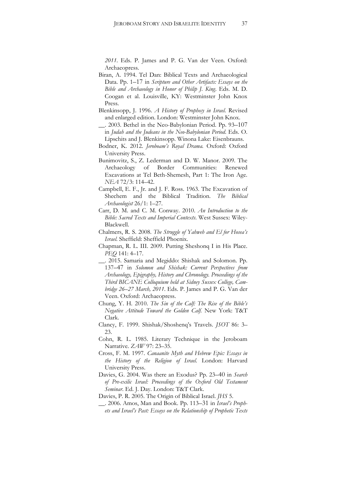*2011*. Eds. P. James and P. G. Van der Veen. Oxford: Archaeopress.

- Biran, A. 1994. Tel Dan: Biblical Texts and Archaeological Data. Pp. 1–17 in *Scripture and Other Artifacts: Essays on the Bible and Archaeology in Honor of Philip J. King*. Eds. M. D. Coogan et al. Louisville, KY: Westminster John Knox Press.
- Blenkinsopp, J. 1996. *A History of Prophecy in Israel.* Revised and enlarged edition. London: Westminster John Knox.
- \_\_. 2003. Bethel in the Neo-Babylonian Period. Pp. 93–107 in *Judah and the Judeans in the Neo-Babylonian Period*. Eds. O. Lipschits and J. Blenkinsopp. Winona Lake: Eisenbrauns.
- Bodner, K. 2012. *Jeroboam's Royal Drama.* Oxford: Oxford University Press.
- Bunimovitz, S., Z. Lederman and D. W. Manor. 2009. The Archaeology of Border Communities: Renewed Excavations at Tel Beth-Shemesh, Part 1: The Iron Age. *NEA* 72/3: 114–42.
- Campbell, E. F., Jr. and J. F. Ross. 1963. The Excavation of Shechem and the Biblical Tradition. *The Biblical Archaeologist* 26/1: 1–27.
- Carr, D. M. and C. M. Conway. 2010. *An Introduction to the Bible: Sacred Texts and Imperial Contexts*. West Sussex: Wiley-Blackwell.
- Chalmers, R. S. 2008. *The Struggle of Yahweh and El for Hosea's Israel*. Sheffield: Sheffield Phoenix.
- Chapman, R. L. III. 2009. Putting Sheshonq I in His Place. *PEQ* 141: 4–17.
- \_\_. 2015. Samaria and Megiddo: Shishak and Solomon. Pp. 137–47 in *Solomon and Shishak: Current Perspectives from Archaeology, Epigraphy, History and Chronology. Proceedings of the Third BICANE Colloquium held at Sidney Sussex College, Cambridge 26–27 March, 2011*. Eds. P. James and P. G. Van der Veen. Oxford: Archaeopress.
- Chung, Y. H. 2010. *The Sin of the Calf: The Rise of the Bible's Negative Attitude Toward the Golden Calf.* New York: T&T Clark.
- Clancy, F. 1999. Shishak/Shoshenq's Travels. *JSOT* 86: 3– 23.
- Cohn, R. L. 1985. Literary Technique in the Jeroboam Narrative. *ZAW* 97: 23–35.
- Cross, F. M. 1997. *Canaanite Myth and Hebrew Epic: Essays in the History of the Religion of Israel.* London: Harvard University Press.
- Davies, G. 2004. Was there an Exodus? Pp. 23–40 in *Search of Pre-exilic Israel: Proceedings of the Oxford Old Testament Seminar*. Ed. J. Day. London: T&T Clark.
- Davies, P. R. 2005. The Origin of Biblical Israel. *JHS* 5.
- \_\_. 2006. Amos, Man and Book. Pp. 113–31 in *Israel's Prophets and Israel's Past: Essays on the Relationship of Prophetic Texts*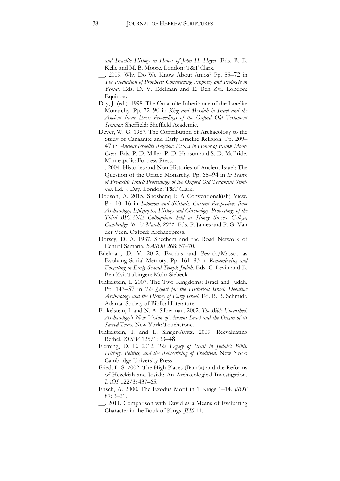*and Israelite History in Honor of John H. Hayes.* Eds. B. E. Kelle and M. B. Moore. London: T&T Clark.

- \_\_. 2009. Why Do We Know About Amos? Pp. 55–72 in *The Production of Prophecy: Constructing Prophecy and Prophets in Yehud*. Eds. D. V. Edelman and E. Ben Zvi. London: Equinox.
- Day, J. (ed.). 1998. The Canaanite Inheritance of the Israelite Monarchy. Pp. 72–90 in *King and Messiah in Israel and the Ancient Near East: Proceedings of the Oxford Old Testament Seminar*. Sheffield: Sheffield Academic.
- Dever, W. G. 1987. The Contribution of Archaeology to the Study of Canaanite and Early Israelite Religion. Pp. 209– 47 in *Ancient Israelite Religion: Essays in Honor of Frank Moore Cross*. Eds. P. D. Miller, P. D. Hanson and S. D. McBride. Minneapolis: Fortress Press.
- \_\_. 2004. Histories and Non-Histories of Ancient Israel: The Question of the United Monarchy. Pp. 65–94 in *In Search of Pre-exilic Israel: Proceedings of the Oxford Old Testament Seminar*. Ed. J. Day. London: T&T Clark.
- Dodson, A. 2015. Shoshenq I: A Conventional(ish) View. Pp. 10–16 in *Solomon and Shishak: Current Perspectives from Archaeology, Epigraphy, History and Chronology. Proceedings of the Third BICANE Colloquium held at Sidney Sussex College, Cambridge 26–27 March, 2011.* Eds. P. James and P. G. Van der Veen. Oxford: Archaeopress.
- Dorsey, D. A. 1987. Shechem and the Road Network of Central Samaria. *BASOR* 268: 57–70.
- Edelman, D. V. 2012. Exodus and Pesach/Massot as Evolving Social Memory. Pp. 161–93 in *Remembering and Forgetting in Early Second Temple Judah*. Eds. C. Levin and E. Ben Zvi. Tübingen: Mohr Siebeck.
- Finkelstein, I. 2007. The Two Kingdoms: Israel and Judah. Pp. 147–57 in *The Quest for the Historical Israel: Debating Archaeology and the History of Early Israel*. Ed. B. B. Schmidt. Atlanta: Society of Biblical Literature.
- Finkelstein, I. and N. A. Silberman. 2002. *The Bible Unearthed: Archaeology's New Vision of Ancient Israel and the Origin of its Sacred Texts.* New York: Touchstone.
- Finkelstein, I. and L. Singer-Avitz. 2009. Reevaluating Bethel. *ZDPV* 125/1: 33–48.
- Fleming, D. E. 2012. *The Legacy of Israel in Judah's Bible: History, Politics, and the Reinscribing of Tradition.* New York: Cambridge University Press.
- Fried, L. S. 2002. The High Places (Bāmôt) and the Reforms of Hezekiah and Josiah: An Archaeological Investigation. *JAOS* 122/3: 437–65.
- Frisch, A. 2000. The Exodus Motif in 1 Kings 1–14. *JSOT*  87: 3–21.
- \_\_. 2011. Comparison with David as a Means of Evaluating Character in the Book of Kings. *JHS* 11.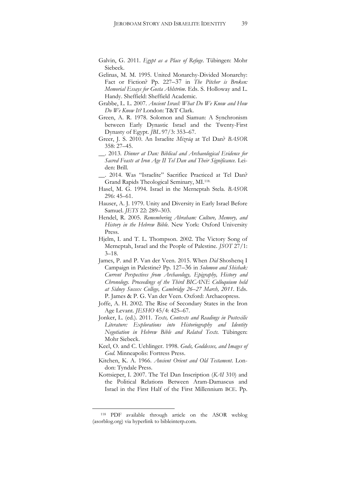- Galvin, G. 2011. *Egypt as a Place of Refuge*. Tübingen: Mohr Siebeck.
- Gelinas, M. M. 1995. United Monarchy-Divided Monarchy: Fact or Fiction? Pp. 227–37 in *The Pitcher is Broken: Memorial Essays for Gosta Ahlström*. Eds. S. Holloway and L. Handy. Sheffield: Sheffield Academic.
- Grabbe, L. L. 2007. *Ancient Israel: What Do We Know and How Do We Know It?* London: T&T Clark.
- Green, A. R. 1978. Solomon and Siamun: A Synchronism between Early Dynastic Israel and the Twenty-First Dynasty of Egypt. *JBL* 97/3: 353–67.
- Greer, J. S. 2010. An Israelite *Mizrāq* at Tel Dan? *BASOR* 358: 27–45.
- \_\_. 2013. *Dinner at Dan: Biblical and Archaeological Evidence for Sacred Feasts at Iron Age II Tel Dan and Their Significance.* Leiden: Brill.
- \_\_. 2014. Was "Israelite" Sacrifice Practiced at Tel Dan? Grand Rapids Theological Seminary, MI. 118.
- Hasel, M. G. 1994. Israel in the Merneptah Stela. *BASOR*  296: 45–61.
- Hauser, A. J. 1979. Unity and Diversity in Early Israel Before Samuel. *JETS* 22: 289–303.
- Hendel, R. 2005. *Remembering Abraham: Culture, Memory, and History in the Hebrew Bible.* New York: Oxford University Press.
- Hjelm, I. and T. L. Thompson. 2002. The Victory Song of Merneptah, Israel and the People of Palestine. *JSOT* 27/1: 3–18.
- James, P. and P. Van der Veen. 2015. When *Did* Shoshenq I Campaign in Palestine? Pp. 127–36 in *Solomon and Shishak: Current Perspectives from Archaeology, Epigraphy, History and Chronology. Proceedings of the Third BICANE Colloquium held at Sidney Sussex College, Cambridge 26–27 March, 2011*. Eds. P. James & P. G. Van der Veen. Oxford: Archaeopress.
- Joffe, A. H. 2002. The Rise of Secondary States in the Iron Age Levant. *JESHO* 45/4: 425–67.
- Jonker, L. (ed.). 2011. *Texts, Contexts and Readings in Postexilic Literature: Explorations into Historiography and Identity Negotiation in Hebrew Bible and Related Texts.* Tübingen: Mohr Siebeck.
- Keel, O. and C. Uehlinger. 1998. *Gods, Goddesses, and Images of God*. Minneapolis: Fortress Press.
- Kitchen, K. A. 1966. *Ancient Orient and Old Testament*. London: Tyndale Press.
- Kottsieper, I. 2007. The Tel Dan Inscription (*KAI* 310) and the Political Relations Between Aram-Damascus and Israel in the First Half of the First Millennium BCE. Pp.

 $\overline{a}$ 

<sup>118</sup> PDF available through article on the ASOR weblog (asorblog.org) via hyperlink to bibleinterp.com.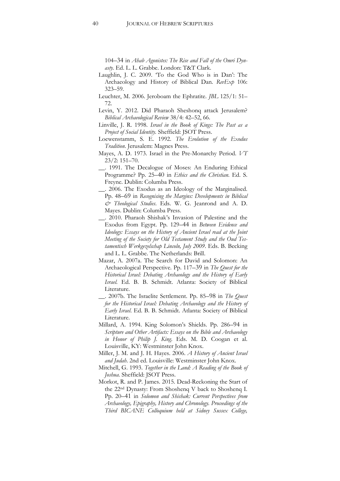104–34 in *Ahab Agonistes: The Rise and Fall of the Omri Dynasty.* Ed. L. L. Grabbe. London: T&T Clark.

- Laughlin, J. C. 2009. 'To the God Who is in Dan': The Archaeology and History of Biblical Dan. *RevExp* 106: 323–59.
- Leuchter, M. 2006. Jeroboam the Ephratite. *JBL* 125/1: 51– 72.
- Levin, Y. 2012. Did Pharaoh Sheshonq attack Jerusalem? *Biblical Archaeological Review* 38/4: 42–52, 66.
- Linville, J. R. 1998. *Israel in the Book of Kings: The Past as a Project of Social Identity.* Sheffield: JSOT Press.
- Loewenstamm, S. E. 1992. *The Evolution of the Exodus Tradition*. Jerusalem: Magnes Press.
- Mayes, A. D. 1973. Israel in the Pre-Monarchy Period. *VT* 23/2: 151–70.
- \_\_. 1991. The Decalogue of Moses: An Enduring Ethical Programme? Pp. 25–40 in *Ethics and the Christian*. Ed. S. Freyne. Dublin: Columba Press.
- \_\_. 2006. The Exodus as an Ideology of the Marginalised. Pp. 48–69 in *Recognising the Margins: Developments in Biblical & Theological Studies*. Eds. W. G. Jeanrond and A. D. Mayes. Dublin: Columba Press.
- \_\_. 2010. Pharaoh Shishak's Invasion of Palestine and the Exodus from Egypt. Pp. 129–44 in *Between Evidence and Ideology: Essays on the History of Ancient Israel read at the Joint Meeting of the Society for Old Testament Study and the Oud Testamentisch Werkgezelschap Lincoln, July 2009*. Eds. B. Becking and L. L. Grabbe. The Netherlands: Brill.
- Mazar, A. 2007a. The Search for David and Solomon: An Archaeological Perspective. Pp. 117–39 in *The Quest for the Historical Israel: Debating Archaeology and the History of Early Israel*. Ed. B. B. Schmidt. Atlanta: Society of Biblical Literature.
- \_\_. 2007b. The Israelite Settlement. Pp. 85–98 in *The Quest for the Historical Israel: Debating Archaeology and the History of Early Israel*. Ed. B. B. Schmidt. Atlanta: Society of Biblical Literature.
- Millard, A. 1994. King Solomon's Shields. Pp. 286–94 in *Scripture and Other Artifacts: Essays on the Bible and Archaeology in Honor of Philip J. King*. Eds. M. D. Coogan et al. Louisville, KY: Westminster John Knox.
- Miller, J. M. and J. H. Hayes. 2006. *A History of Ancient Israel and Judah*. 2nd ed. Louisville: Westminster John Knox.
- Mitchell, G. 1993. *Together in the Land: A Reading of the Book of Joshua.* Sheffield: JSOT Press.
- Morkot, R. and P. James. 2015. Dead-Reckoning the Start of the 22nd Dynasty: From Shoshenq V back to Shoshenq I. Pp. 20–41 in *Solomon and Shishak: Current Perspectives from Archaeology, Epigraphy, History and Chronology. Proceedings of the Third BICANE Colloquium held at Sidney Sussex College,*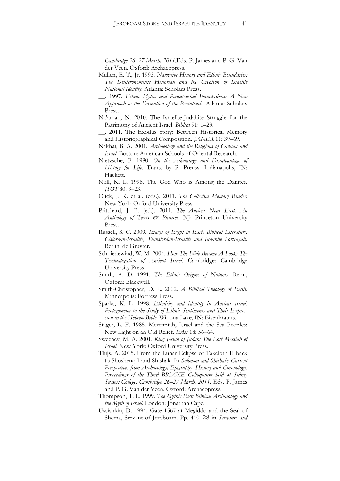*Cambridge 26–27 March, 2011.*Eds. P. James and P. G. Van der Veen. Oxford: Archaeopress.

- Mullen, E. T., Jr. 1993. *Narrative History and Ethnic Boundaries: The Deuteronomistic Historian and the Creation of Israelite National Identity.* Atlanta: Scholars Press.
- \_\_. 1997. *Ethnic Myths and Pentateuchal Foundations: A New Approach to the Formation of the Pentateuch.* Atlanta: Scholars Press.
- Na'aman, N. 2010. The Israelite-Judahite Struggle for the Patrimony of Ancient Israel. *Biblica* 91: 1–23.
- \_\_. 2011. The Exodus Story: Between Historical Memory and Historiographical Composition. *JANER* 11: 39–69.
- Nakhai, B. A. 2001. *Archaeology and the Religions of Canaan and Israel*. Boston: American Schools of Oriental Research.
- Nietzsche, F. 1980. *On the Advantage and Disadvantage of History for Life*. Trans. by P. Preuss. Indianapolis, IN: Hackett.
- Noll, K. L. 1998. The God Who is Among the Danites. *JSOT* 80: 3–23.
- Olick, J. K. et al. (eds.). 2011. *The Collective Memory Reader*. New York: Oxford University Press.
- Pritchard, J. B. (ed.). 2011. *The Ancient Near East: An Anthology of Texts & Pictures*. NJ: Princeton University Press.
- Russell, S. C. 2009. *Images of Egypt in Early Biblical Literature: Cisjordan-Israelite, Transjordan-Israelite and Judahite Portrayals.* Berlin: de Gruyter.
- Schniedewind, W. M. 2004. *How The Bible Became A Book: The Textualization of Ancient Israel*. Cambridge: Cambridge University Press.
- Smith, A. D. 1991. *The Ethnic Origins of Nations.* Repr., Oxford: Blackwell.
- Smith-Christopher, D. L. 2002. *A Biblical Theology of Exile*. Minneapolis: Fortress Press.
- Sparks, K. L. 1998. *Ethnicity and Identity in Ancient Israel: Prolegomena to the Study of Ethnic Sentiments and Their Expression in the Hebrew Bible.* Winona Lake, IN: Eisenbrauns.
- Stager, L. E. 1985. Merenptah, Israel and the Sea Peoples: New Light on an Old Relief. *ErIsr* 18: 56–64.
- Sweeney, M. A. 2001. *King Josiah of Judah: The Lost Messiah of Israel*. New York: Oxford University Press.
- Thijs, A. 2015. From the Lunar Eclipse of Takeloth II back to Shoshenq I and Shishak. In *Solomon and Shishak: Current Perspectives from Archaeology, Epigraphy, History and Chronology. Proceedings of the Third BICANE Colloquium held at Sidney Sussex College, Cambridge 26–27 March, 2011.* Eds. P. James and P. G. Van der Veen. Oxford: Archaeopress.
- Thompson, T. L. 1999. *The Mythic Past: Biblical Archaeology and the Myth of Israel.* London: Jonathan Cape.
- Ussishkin, D. 1994. Gate 1567 at Megiddo and the Seal of Shema, Servant of Jeroboam. Pp. 410–28 in *Scripture and*